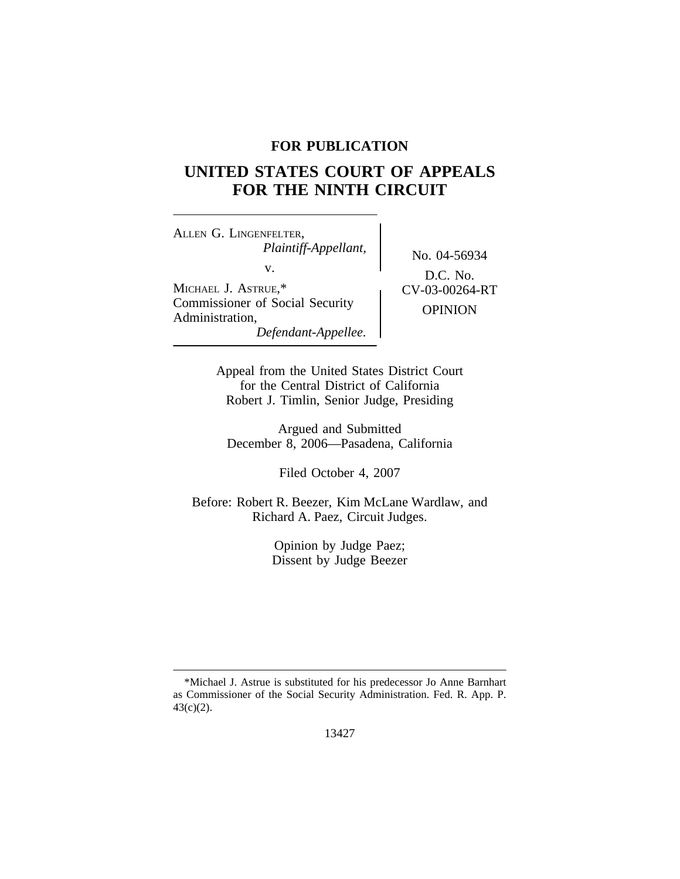# **FOR PUBLICATION**

# **UNITED STATES COURT OF APPEALS FOR THE NINTH CIRCUIT**

<sup>A</sup>LLEN G. LINGENFELTER, *Plaintiff-Appellant,* No. 04-56934 v. MICHAEL J. ASTRUE,\* <br> CV-03-00264-RT Commissioner of Social Security OPINION Administration, *Defendant-Appellee.*

D.C. No.

Appeal from the United States District Court for the Central District of California Robert J. Timlin, Senior Judge, Presiding

Argued and Submitted December 8, 2006—Pasadena, California

Filed October 4, 2007

Before: Robert R. Beezer, Kim McLane Wardlaw, and Richard A. Paez, Circuit Judges.

> Opinion by Judge Paez; Dissent by Judge Beezer

<sup>\*</sup>Michael J. Astrue is substituted for his predecessor Jo Anne Barnhart as Commissioner of the Social Security Administration. Fed. R. App. P. 43(c)(2).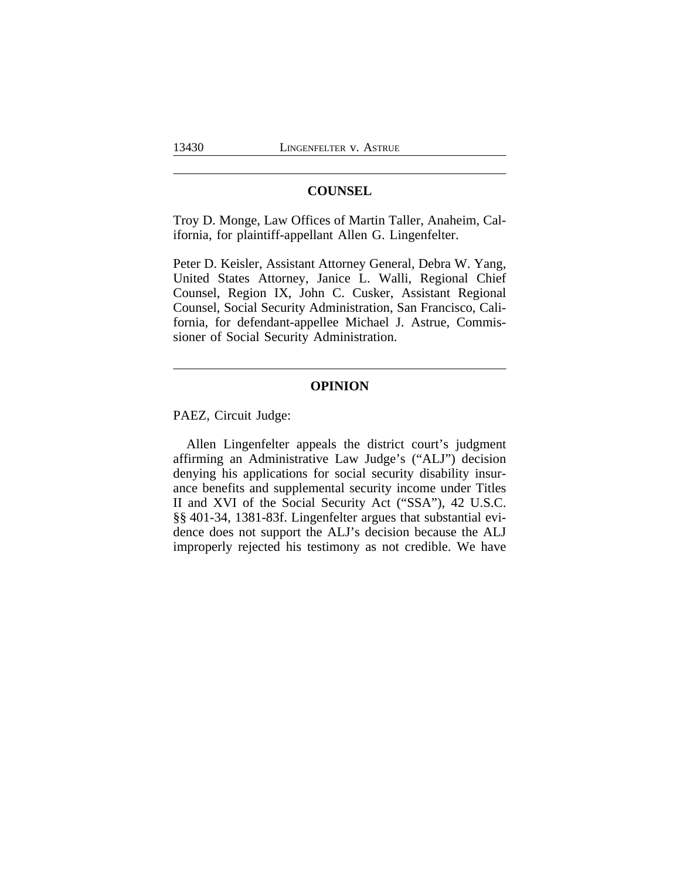## **COUNSEL**

Troy D. Monge, Law Offices of Martin Taller, Anaheim, California, for plaintiff-appellant Allen G. Lingenfelter.

Peter D. Keisler, Assistant Attorney General, Debra W. Yang, United States Attorney, Janice L. Walli, Regional Chief Counsel, Region IX, John C. Cusker, Assistant Regional Counsel, Social Security Administration, San Francisco, California, for defendant-appellee Michael J. Astrue, Commissioner of Social Security Administration.

# **OPINION**

PAEZ, Circuit Judge:

Allen Lingenfelter appeals the district court's judgment affirming an Administrative Law Judge's ("ALJ") decision denying his applications for social security disability insurance benefits and supplemental security income under Titles II and XVI of the Social Security Act ("SSA"), 42 U.S.C. §§ 401-34, 1381-83f. Lingenfelter argues that substantial evidence does not support the ALJ's decision because the ALJ improperly rejected his testimony as not credible. We have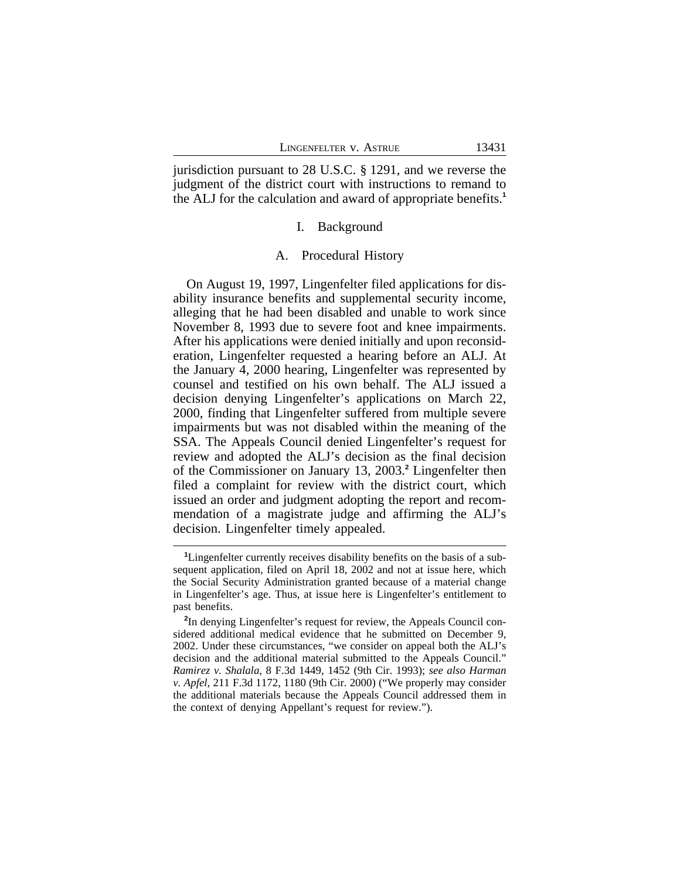jurisdiction pursuant to 28 U.S.C. § 1291, and we reverse the judgment of the district court with instructions to remand to the ALJ for the calculation and award of appropriate benefits.**<sup>1</sup>**

### I. Background

#### A. Procedural History

On August 19, 1997, Lingenfelter filed applications for disability insurance benefits and supplemental security income, alleging that he had been disabled and unable to work since November 8, 1993 due to severe foot and knee impairments. After his applications were denied initially and upon reconsideration, Lingenfelter requested a hearing before an ALJ. At the January 4, 2000 hearing, Lingenfelter was represented by counsel and testified on his own behalf. The ALJ issued a decision denying Lingenfelter's applications on March 22, 2000, finding that Lingenfelter suffered from multiple severe impairments but was not disabled within the meaning of the SSA. The Appeals Council denied Lingenfelter's request for review and adopted the ALJ's decision as the final decision of the Commissioner on January 13, 2003.**<sup>2</sup>** Lingenfelter then filed a complaint for review with the district court, which issued an order and judgment adopting the report and recommendation of a magistrate judge and affirming the ALJ's decision. Lingenfelter timely appealed.

**<sup>1</sup>**Lingenfelter currently receives disability benefits on the basis of a subsequent application, filed on April 18, 2002 and not at issue here, which the Social Security Administration granted because of a material change in Lingenfelter's age. Thus, at issue here is Lingenfelter's entitlement to past benefits.

<sup>&</sup>lt;sup>2</sup>In denying Lingenfelter's request for review, the Appeals Council considered additional medical evidence that he submitted on December 9, 2002. Under these circumstances, "we consider on appeal both the ALJ's decision and the additional material submitted to the Appeals Council." *Ramirez v. Shalala*, 8 F.3d 1449, 1452 (9th Cir. 1993); *see also Harman v. Apfel*, 211 F.3d 1172, 1180 (9th Cir. 2000) ("We properly may consider the additional materials because the Appeals Council addressed them in the context of denying Appellant's request for review.").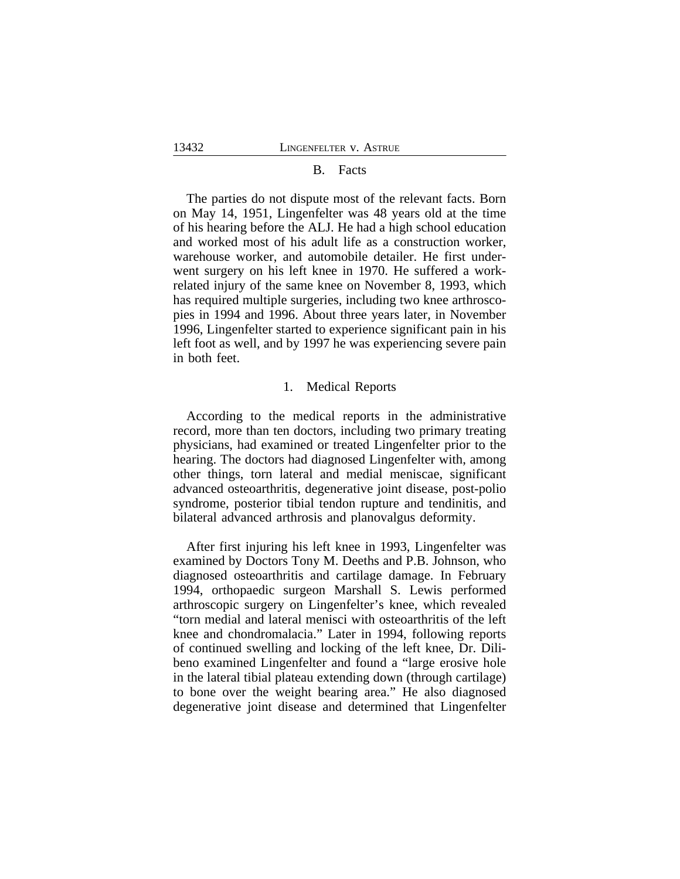#### B. Facts

The parties do not dispute most of the relevant facts. Born on May 14, 1951, Lingenfelter was 48 years old at the time of his hearing before the ALJ. He had a high school education and worked most of his adult life as a construction worker, warehouse worker, and automobile detailer. He first underwent surgery on his left knee in 1970. He suffered a workrelated injury of the same knee on November 8, 1993, which has required multiple surgeries, including two knee arthroscopies in 1994 and 1996. About three years later, in November 1996, Lingenfelter started to experience significant pain in his left foot as well, and by 1997 he was experiencing severe pain in both feet.

#### 1. Medical Reports

According to the medical reports in the administrative record, more than ten doctors, including two primary treating physicians, had examined or treated Lingenfelter prior to the hearing. The doctors had diagnosed Lingenfelter with, among other things, torn lateral and medial meniscae, significant advanced osteoarthritis, degenerative joint disease, post-polio syndrome, posterior tibial tendon rupture and tendinitis, and bilateral advanced arthrosis and planovalgus deformity.

After first injuring his left knee in 1993, Lingenfelter was examined by Doctors Tony M. Deeths and P.B. Johnson, who diagnosed osteoarthritis and cartilage damage. In February 1994, orthopaedic surgeon Marshall S. Lewis performed arthroscopic surgery on Lingenfelter's knee, which revealed "torn medial and lateral menisci with osteoarthritis of the left knee and chondromalacia." Later in 1994, following reports of continued swelling and locking of the left knee, Dr. Dilibeno examined Lingenfelter and found a "large erosive hole in the lateral tibial plateau extending down (through cartilage) to bone over the weight bearing area." He also diagnosed degenerative joint disease and determined that Lingenfelter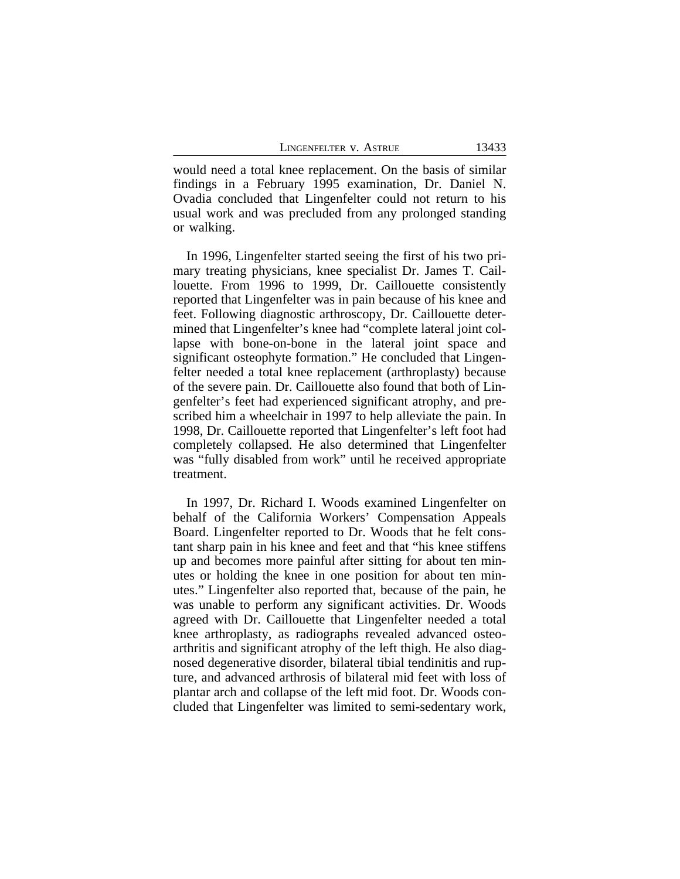would need a total knee replacement. On the basis of similar findings in a February 1995 examination, Dr. Daniel N. Ovadia concluded that Lingenfelter could not return to his usual work and was precluded from any prolonged standing or walking.

In 1996, Lingenfelter started seeing the first of his two primary treating physicians, knee specialist Dr. James T. Caillouette. From 1996 to 1999, Dr. Caillouette consistently reported that Lingenfelter was in pain because of his knee and feet. Following diagnostic arthroscopy, Dr. Caillouette determined that Lingenfelter's knee had "complete lateral joint collapse with bone-on-bone in the lateral joint space and significant osteophyte formation." He concluded that Lingenfelter needed a total knee replacement (arthroplasty) because of the severe pain. Dr. Caillouette also found that both of Lingenfelter's feet had experienced significant atrophy, and prescribed him a wheelchair in 1997 to help alleviate the pain. In 1998, Dr. Caillouette reported that Lingenfelter's left foot had completely collapsed. He also determined that Lingenfelter was "fully disabled from work" until he received appropriate treatment.

In 1997, Dr. Richard I. Woods examined Lingenfelter on behalf of the California Workers' Compensation Appeals Board. Lingenfelter reported to Dr. Woods that he felt constant sharp pain in his knee and feet and that "his knee stiffens up and becomes more painful after sitting for about ten minutes or holding the knee in one position for about ten minutes." Lingenfelter also reported that, because of the pain, he was unable to perform any significant activities. Dr. Woods agreed with Dr. Caillouette that Lingenfelter needed a total knee arthroplasty, as radiographs revealed advanced osteoarthritis and significant atrophy of the left thigh. He also diagnosed degenerative disorder, bilateral tibial tendinitis and rupture, and advanced arthrosis of bilateral mid feet with loss of plantar arch and collapse of the left mid foot. Dr. Woods concluded that Lingenfelter was limited to semi-sedentary work,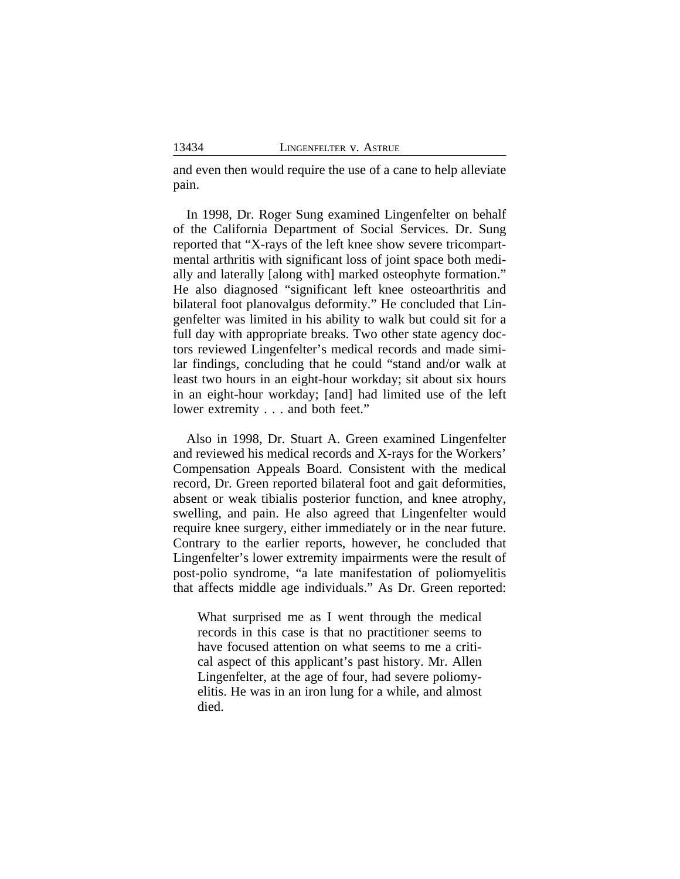and even then would require the use of a cane to help alleviate pain.

In 1998, Dr. Roger Sung examined Lingenfelter on behalf of the California Department of Social Services. Dr. Sung reported that "X-rays of the left knee show severe tricompartmental arthritis with significant loss of joint space both medially and laterally [along with] marked osteophyte formation." He also diagnosed "significant left knee osteoarthritis and bilateral foot planovalgus deformity." He concluded that Lingenfelter was limited in his ability to walk but could sit for a full day with appropriate breaks. Two other state agency doctors reviewed Lingenfelter's medical records and made similar findings, concluding that he could "stand and/or walk at least two hours in an eight-hour workday; sit about six hours in an eight-hour workday; [and] had limited use of the left lower extremity . . . and both feet."

Also in 1998, Dr. Stuart A. Green examined Lingenfelter and reviewed his medical records and X-rays for the Workers' Compensation Appeals Board. Consistent with the medical record, Dr. Green reported bilateral foot and gait deformities, absent or weak tibialis posterior function, and knee atrophy, swelling, and pain. He also agreed that Lingenfelter would require knee surgery, either immediately or in the near future. Contrary to the earlier reports, however, he concluded that Lingenfelter's lower extremity impairments were the result of post-polio syndrome, "a late manifestation of poliomyelitis that affects middle age individuals." As Dr. Green reported:

What surprised me as I went through the medical records in this case is that no practitioner seems to have focused attention on what seems to me a critical aspect of this applicant's past history. Mr. Allen Lingenfelter, at the age of four, had severe poliomyelitis. He was in an iron lung for a while, and almost died.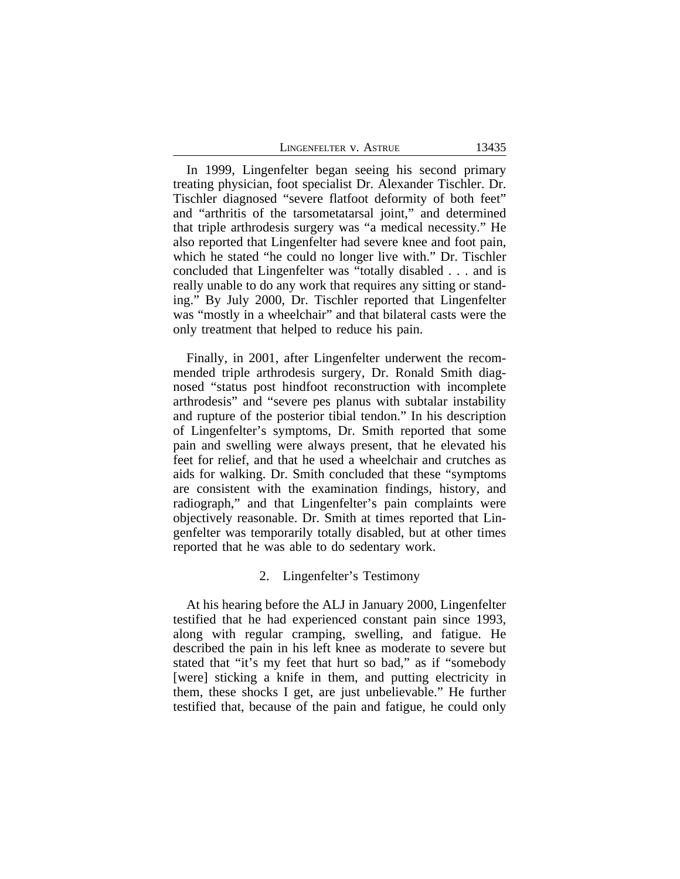| LINGENFELTER V. ASTRUE |  |  |  |
|------------------------|--|--|--|
|------------------------|--|--|--|

13435

In 1999, Lingenfelter began seeing his second primary treating physician, foot specialist Dr. Alexander Tischler. Dr. Tischler diagnosed "severe flatfoot deformity of both feet" and "arthritis of the tarsometatarsal joint," and determined that triple arthrodesis surgery was "a medical necessity." He also reported that Lingenfelter had severe knee and foot pain, which he stated "he could no longer live with." Dr. Tischler concluded that Lingenfelter was "totally disabled . . . and is really unable to do any work that requires any sitting or standing." By July 2000, Dr. Tischler reported that Lingenfelter was "mostly in a wheelchair" and that bilateral casts were the only treatment that helped to reduce his pain.

Finally, in 2001, after Lingenfelter underwent the recommended triple arthrodesis surgery, Dr. Ronald Smith diagnosed "status post hindfoot reconstruction with incomplete arthrodesis" and "severe pes planus with subtalar instability and rupture of the posterior tibial tendon." In his description of Lingenfelter's symptoms, Dr. Smith reported that some pain and swelling were always present, that he elevated his feet for relief, and that he used a wheelchair and crutches as aids for walking. Dr. Smith concluded that these "symptoms are consistent with the examination findings, history, and radiograph," and that Lingenfelter's pain complaints were objectively reasonable. Dr. Smith at times reported that Lingenfelter was temporarily totally disabled, but at other times reported that he was able to do sedentary work.

## 2. Lingenfelter's Testimony

At his hearing before the ALJ in January 2000, Lingenfelter testified that he had experienced constant pain since 1993, along with regular cramping, swelling, and fatigue. He described the pain in his left knee as moderate to severe but stated that "it's my feet that hurt so bad," as if "somebody [were] sticking a knife in them, and putting electricity in them, these shocks I get, are just unbelievable." He further testified that, because of the pain and fatigue, he could only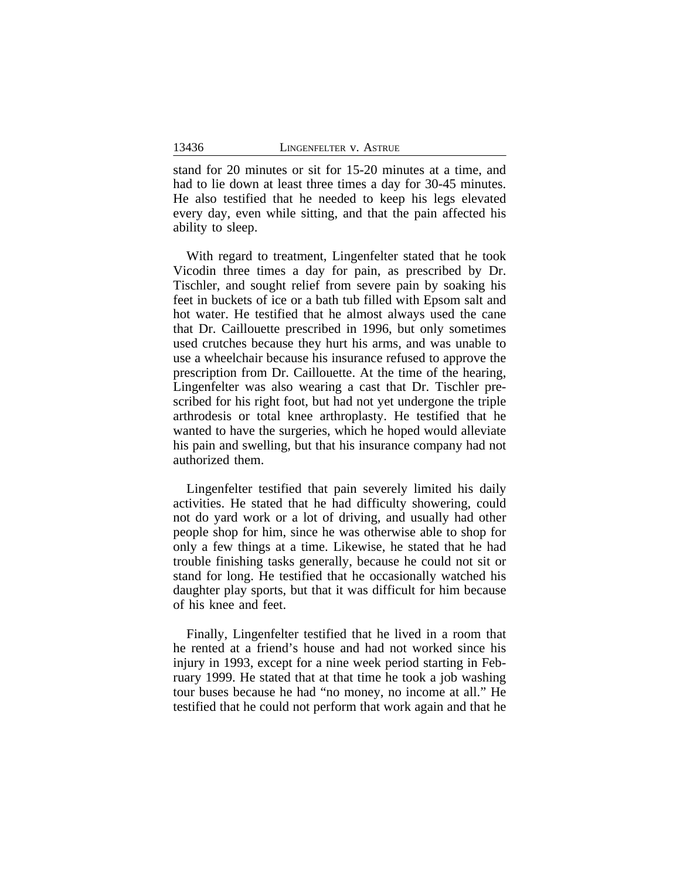stand for 20 minutes or sit for 15-20 minutes at a time, and had to lie down at least three times a day for 30-45 minutes. He also testified that he needed to keep his legs elevated every day, even while sitting, and that the pain affected his ability to sleep.

With regard to treatment, Lingenfelter stated that he took Vicodin three times a day for pain, as prescribed by Dr. Tischler, and sought relief from severe pain by soaking his feet in buckets of ice or a bath tub filled with Epsom salt and hot water. He testified that he almost always used the cane that Dr. Caillouette prescribed in 1996, but only sometimes used crutches because they hurt his arms, and was unable to use a wheelchair because his insurance refused to approve the prescription from Dr. Caillouette. At the time of the hearing, Lingenfelter was also wearing a cast that Dr. Tischler prescribed for his right foot, but had not yet undergone the triple arthrodesis or total knee arthroplasty. He testified that he wanted to have the surgeries, which he hoped would alleviate his pain and swelling, but that his insurance company had not authorized them.

Lingenfelter testified that pain severely limited his daily activities. He stated that he had difficulty showering, could not do yard work or a lot of driving, and usually had other people shop for him, since he was otherwise able to shop for only a few things at a time. Likewise, he stated that he had trouble finishing tasks generally, because he could not sit or stand for long. He testified that he occasionally watched his daughter play sports, but that it was difficult for him because of his knee and feet.

Finally, Lingenfelter testified that he lived in a room that he rented at a friend's house and had not worked since his injury in 1993, except for a nine week period starting in February 1999. He stated that at that time he took a job washing tour buses because he had "no money, no income at all." He testified that he could not perform that work again and that he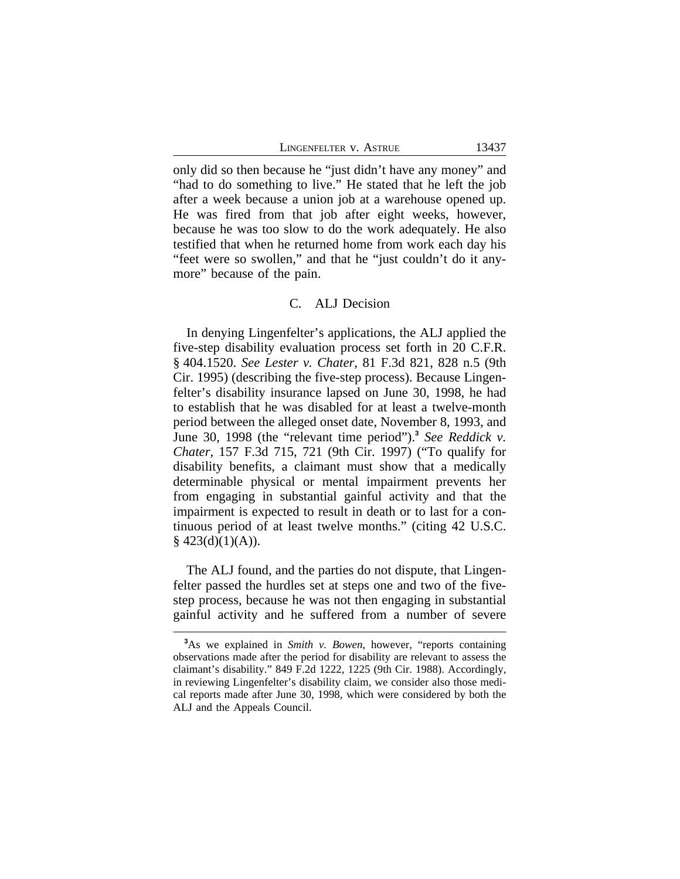LINGENFELTER V. ASTRUE 13437

only did so then because he "just didn't have any money" and "had to do something to live." He stated that he left the job after a week because a union job at a warehouse opened up. He was fired from that job after eight weeks, however, because he was too slow to do the work adequately. He also testified that when he returned home from work each day his "feet were so swollen," and that he "just couldn't do it anymore" because of the pain.

#### C. ALJ Decision

In denying Lingenfelter's applications, the ALJ applied the five-step disability evaluation process set forth in 20 C.F.R. § 404.1520. *See Lester v. Chater*, 81 F.3d 821, 828 n.5 (9th Cir. 1995) (describing the five-step process). Because Lingenfelter's disability insurance lapsed on June 30, 1998, he had to establish that he was disabled for at least a twelve-month period between the alleged onset date, November 8, 1993, and June 30, 1998 (the "relevant time period").**<sup>3</sup>** *See Reddick v. Chater*, 157 F.3d 715, 721 (9th Cir. 1997) ("To qualify for disability benefits, a claimant must show that a medically determinable physical or mental impairment prevents her from engaging in substantial gainful activity and that the impairment is expected to result in death or to last for a continuous period of at least twelve months." (citing 42 U.S.C.  $§$  423(d)(1)(A)).

The ALJ found, and the parties do not dispute, that Lingenfelter passed the hurdles set at steps one and two of the fivestep process, because he was not then engaging in substantial gainful activity and he suffered from a number of severe

**<sup>3</sup>**As we explained in *Smith v. Bowen*, however, "reports containing observations made after the period for disability are relevant to assess the claimant's disability." 849 F.2d 1222, 1225 (9th Cir. 1988). Accordingly, in reviewing Lingenfelter's disability claim, we consider also those medical reports made after June 30, 1998, which were considered by both the ALJ and the Appeals Council.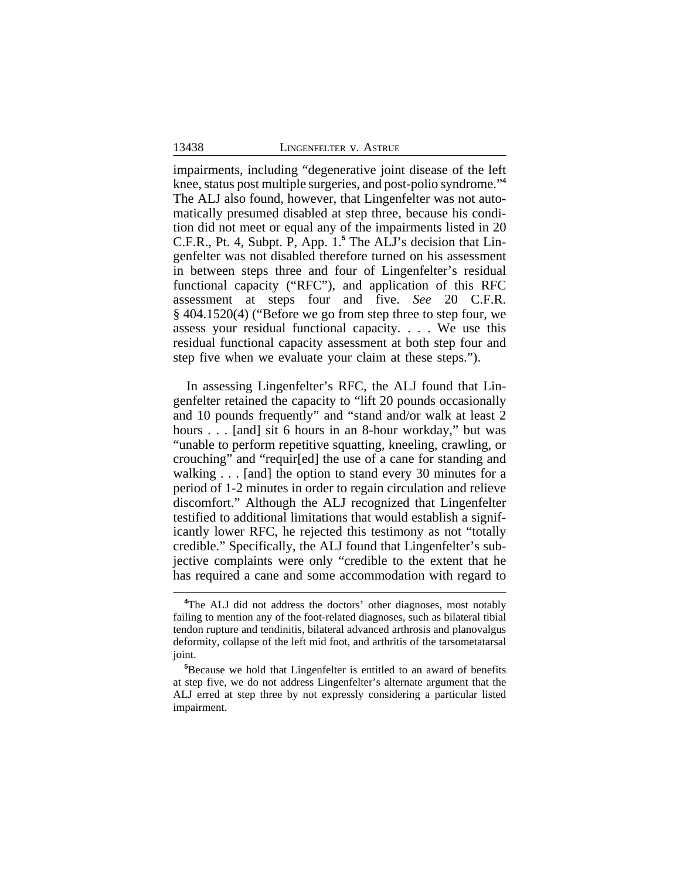impairments, including "degenerative joint disease of the left knee, status post multiple surgeries, and post-polio syndrome." **4** The ALJ also found, however, that Lingenfelter was not automatically presumed disabled at step three, because his condition did not meet or equal any of the impairments listed in 20 C.F.R., Pt. 4, Subpt. P, App. 1.**<sup>5</sup>** The ALJ's decision that Lingenfelter was not disabled therefore turned on his assessment in between steps three and four of Lingenfelter's residual functional capacity ("RFC"), and application of this RFC assessment at steps four and five. *See* 20 C.F.R. § 404.1520(4) ("Before we go from step three to step four, we assess your residual functional capacity. . . . We use this residual functional capacity assessment at both step four and step five when we evaluate your claim at these steps.").

In assessing Lingenfelter's RFC, the ALJ found that Lingenfelter retained the capacity to "lift 20 pounds occasionally and 10 pounds frequently" and "stand and/or walk at least 2 hours . . . [and] sit 6 hours in an 8-hour workday," but was "unable to perform repetitive squatting, kneeling, crawling, or crouching" and "requir[ed] the use of a cane for standing and walking . . . [and] the option to stand every 30 minutes for a period of 1-2 minutes in order to regain circulation and relieve discomfort." Although the ALJ recognized that Lingenfelter testified to additional limitations that would establish a significantly lower RFC, he rejected this testimony as not "totally credible." Specifically, the ALJ found that Lingenfelter's subjective complaints were only "credible to the extent that he has required a cane and some accommodation with regard to

<sup>&</sup>lt;sup>4</sup>The ALJ did not address the doctors' other diagnoses, most notably failing to mention any of the foot-related diagnoses, such as bilateral tibial tendon rupture and tendinitis, bilateral advanced arthrosis and planovalgus deformity, collapse of the left mid foot, and arthritis of the tarsometatarsal joint.

**<sup>5</sup>**Because we hold that Lingenfelter is entitled to an award of benefits at step five, we do not address Lingenfelter's alternate argument that the ALJ erred at step three by not expressly considering a particular listed impairment.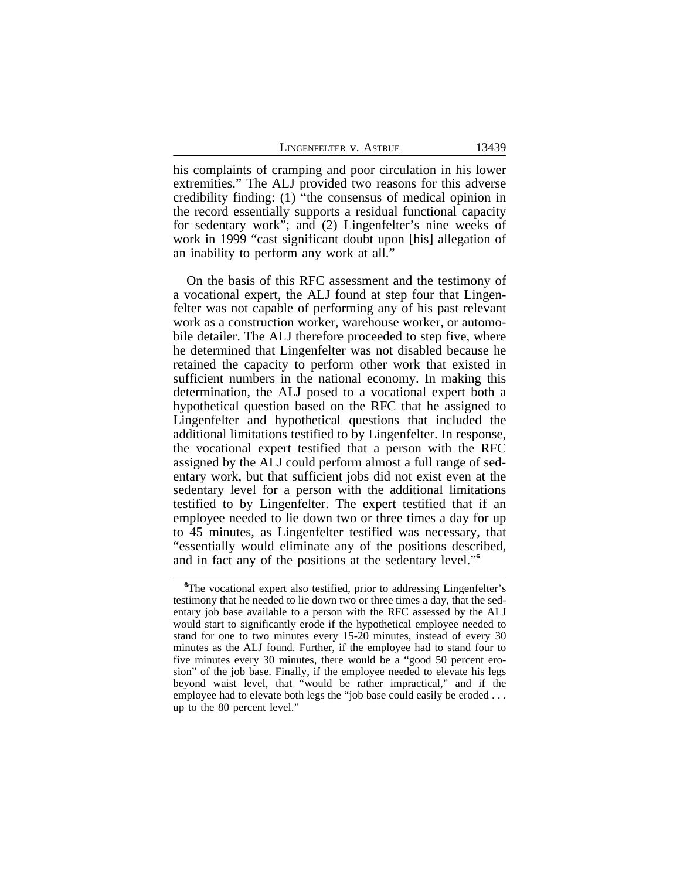his complaints of cramping and poor circulation in his lower extremities." The ALJ provided two reasons for this adverse credibility finding: (1) "the consensus of medical opinion in the record essentially supports a residual functional capacity for sedentary work"; and (2) Lingenfelter's nine weeks of work in 1999 "cast significant doubt upon [his] allegation of an inability to perform any work at all."

On the basis of this RFC assessment and the testimony of a vocational expert, the ALJ found at step four that Lingenfelter was not capable of performing any of his past relevant work as a construction worker, warehouse worker, or automobile detailer. The ALJ therefore proceeded to step five, where he determined that Lingenfelter was not disabled because he retained the capacity to perform other work that existed in sufficient numbers in the national economy. In making this determination, the ALJ posed to a vocational expert both a hypothetical question based on the RFC that he assigned to Lingenfelter and hypothetical questions that included the additional limitations testified to by Lingenfelter. In response, the vocational expert testified that a person with the RFC assigned by the ALJ could perform almost a full range of sedentary work, but that sufficient jobs did not exist even at the sedentary level for a person with the additional limitations testified to by Lingenfelter. The expert testified that if an employee needed to lie down two or three times a day for up to 45 minutes, as Lingenfelter testified was necessary, that "essentially would eliminate any of the positions described, and in fact any of the positions at the sedentary level." **6**

**<sup>6</sup>**The vocational expert also testified, prior to addressing Lingenfelter's testimony that he needed to lie down two or three times a day, that the sedentary job base available to a person with the RFC assessed by the ALJ would start to significantly erode if the hypothetical employee needed to stand for one to two minutes every 15-20 minutes, instead of every 30 minutes as the ALJ found. Further, if the employee had to stand four to five minutes every 30 minutes, there would be a "good 50 percent erosion" of the job base. Finally, if the employee needed to elevate his legs beyond waist level, that "would be rather impractical," and if the employee had to elevate both legs the "job base could easily be eroded . . . up to the 80 percent level."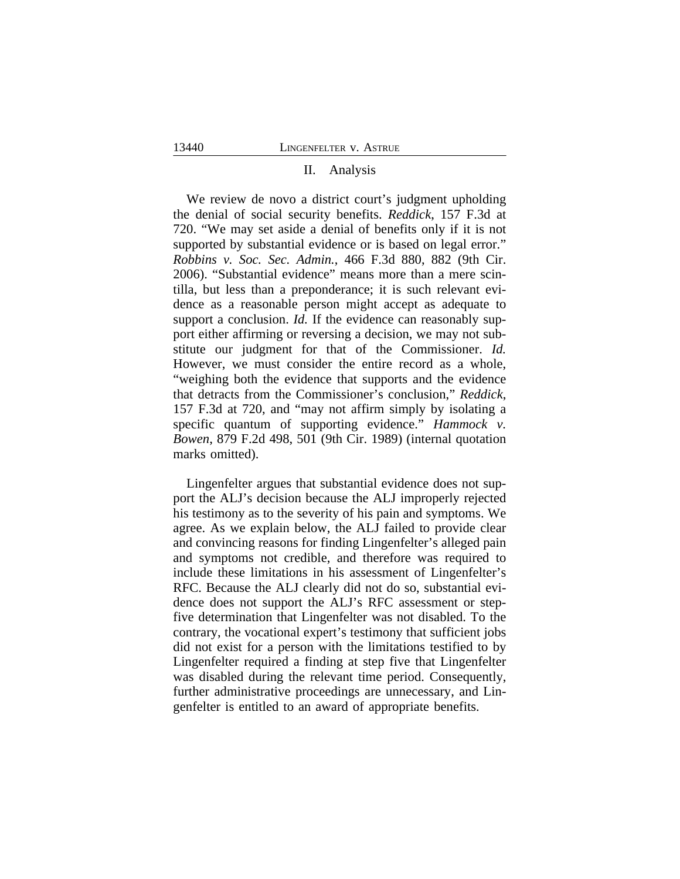### II. Analysis

We review de novo a district court's judgment upholding the denial of social security benefits. *Reddick*, 157 F.3d at 720. "We may set aside a denial of benefits only if it is not supported by substantial evidence or is based on legal error." *Robbins v. Soc. Sec. Admin.*, 466 F.3d 880, 882 (9th Cir. 2006). "Substantial evidence" means more than a mere scintilla, but less than a preponderance; it is such relevant evidence as a reasonable person might accept as adequate to support a conclusion. *Id*. If the evidence can reasonably support either affirming or reversing a decision, we may not substitute our judgment for that of the Commissioner. *Id.* However, we must consider the entire record as a whole, "weighing both the evidence that supports and the evidence that detracts from the Commissioner's conclusion," *Reddick*, 157 F.3d at 720, and "may not affirm simply by isolating a specific quantum of supporting evidence." *Hammock v. Bowen*, 879 F.2d 498, 501 (9th Cir. 1989) (internal quotation marks omitted).

Lingenfelter argues that substantial evidence does not support the ALJ's decision because the ALJ improperly rejected his testimony as to the severity of his pain and symptoms. We agree. As we explain below, the ALJ failed to provide clear and convincing reasons for finding Lingenfelter's alleged pain and symptoms not credible, and therefore was required to include these limitations in his assessment of Lingenfelter's RFC. Because the ALJ clearly did not do so, substantial evidence does not support the ALJ's RFC assessment or stepfive determination that Lingenfelter was not disabled. To the contrary, the vocational expert's testimony that sufficient jobs did not exist for a person with the limitations testified to by Lingenfelter required a finding at step five that Lingenfelter was disabled during the relevant time period. Consequently, further administrative proceedings are unnecessary, and Lingenfelter is entitled to an award of appropriate benefits.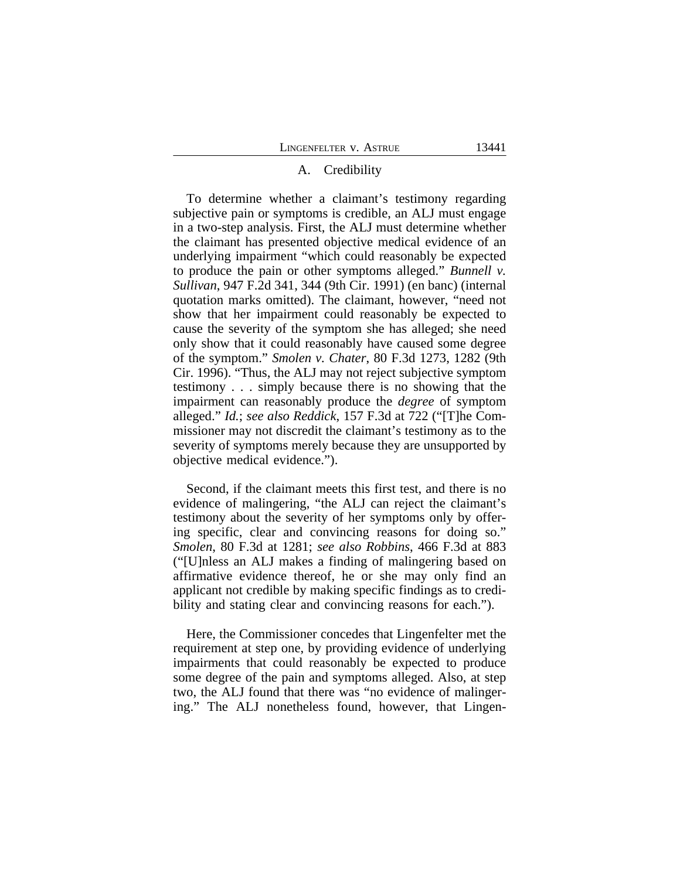## A. Credibility

To determine whether a claimant's testimony regarding subjective pain or symptoms is credible, an ALJ must engage in a two-step analysis. First, the ALJ must determine whether the claimant has presented objective medical evidence of an underlying impairment "which could reasonably be expected to produce the pain or other symptoms alleged." *Bunnell v. Sullivan*, 947 F.2d 341, 344 (9th Cir. 1991) (en banc) (internal quotation marks omitted). The claimant, however, "need not show that her impairment could reasonably be expected to cause the severity of the symptom she has alleged; she need only show that it could reasonably have caused some degree of the symptom." *Smolen v. Chater*, 80 F.3d 1273, 1282 (9th Cir. 1996). "Thus, the ALJ may not reject subjective symptom testimony . . . simply because there is no showing that the impairment can reasonably produce the *degree* of symptom alleged." *Id.*; *see also Reddick*, 157 F.3d at 722 ("[T]he Commissioner may not discredit the claimant's testimony as to the severity of symptoms merely because they are unsupported by objective medical evidence.").

Second, if the claimant meets this first test, and there is no evidence of malingering, "the ALJ can reject the claimant's testimony about the severity of her symptoms only by offering specific, clear and convincing reasons for doing so." *Smolen*, 80 F.3d at 1281; *see also Robbins*, 466 F.3d at 883 ("[U]nless an ALJ makes a finding of malingering based on affirmative evidence thereof, he or she may only find an applicant not credible by making specific findings as to credibility and stating clear and convincing reasons for each.").

Here, the Commissioner concedes that Lingenfelter met the requirement at step one, by providing evidence of underlying impairments that could reasonably be expected to produce some degree of the pain and symptoms alleged. Also, at step two, the ALJ found that there was "no evidence of malingering." The ALJ nonetheless found, however, that Lingen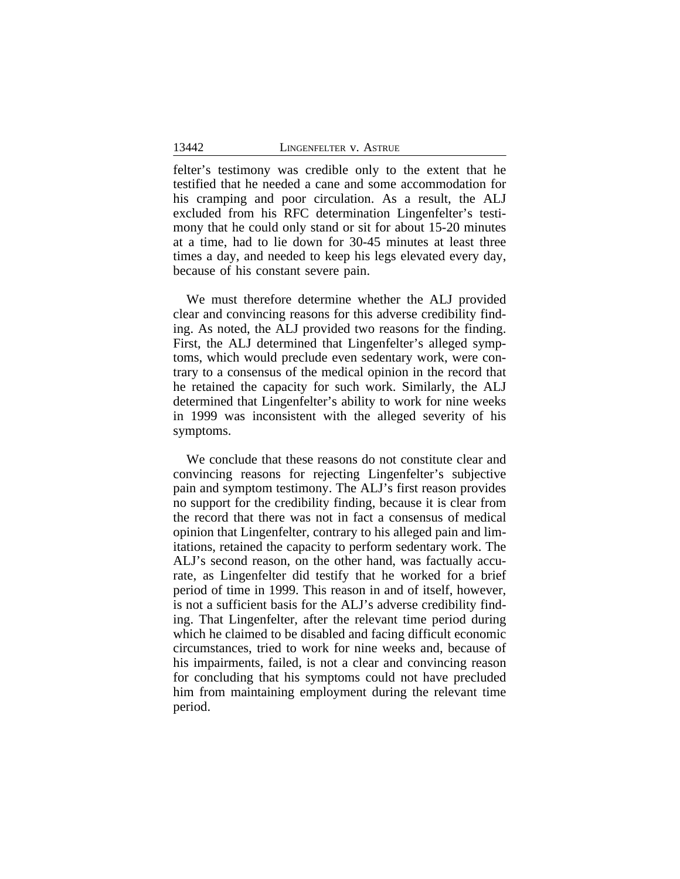felter's testimony was credible only to the extent that he testified that he needed a cane and some accommodation for his cramping and poor circulation. As a result, the ALJ excluded from his RFC determination Lingenfelter's testimony that he could only stand or sit for about 15-20 minutes at a time, had to lie down for 30-45 minutes at least three times a day, and needed to keep his legs elevated every day, because of his constant severe pain.

We must therefore determine whether the ALJ provided clear and convincing reasons for this adverse credibility finding. As noted, the ALJ provided two reasons for the finding. First, the ALJ determined that Lingenfelter's alleged symptoms, which would preclude even sedentary work, were contrary to a consensus of the medical opinion in the record that he retained the capacity for such work. Similarly, the ALJ determined that Lingenfelter's ability to work for nine weeks in 1999 was inconsistent with the alleged severity of his symptoms.

We conclude that these reasons do not constitute clear and convincing reasons for rejecting Lingenfelter's subjective pain and symptom testimony. The ALJ's first reason provides no support for the credibility finding, because it is clear from the record that there was not in fact a consensus of medical opinion that Lingenfelter, contrary to his alleged pain and limitations, retained the capacity to perform sedentary work. The ALJ's second reason, on the other hand, was factually accurate, as Lingenfelter did testify that he worked for a brief period of time in 1999. This reason in and of itself, however, is not a sufficient basis for the ALJ's adverse credibility finding. That Lingenfelter, after the relevant time period during which he claimed to be disabled and facing difficult economic circumstances, tried to work for nine weeks and, because of his impairments, failed, is not a clear and convincing reason for concluding that his symptoms could not have precluded him from maintaining employment during the relevant time period.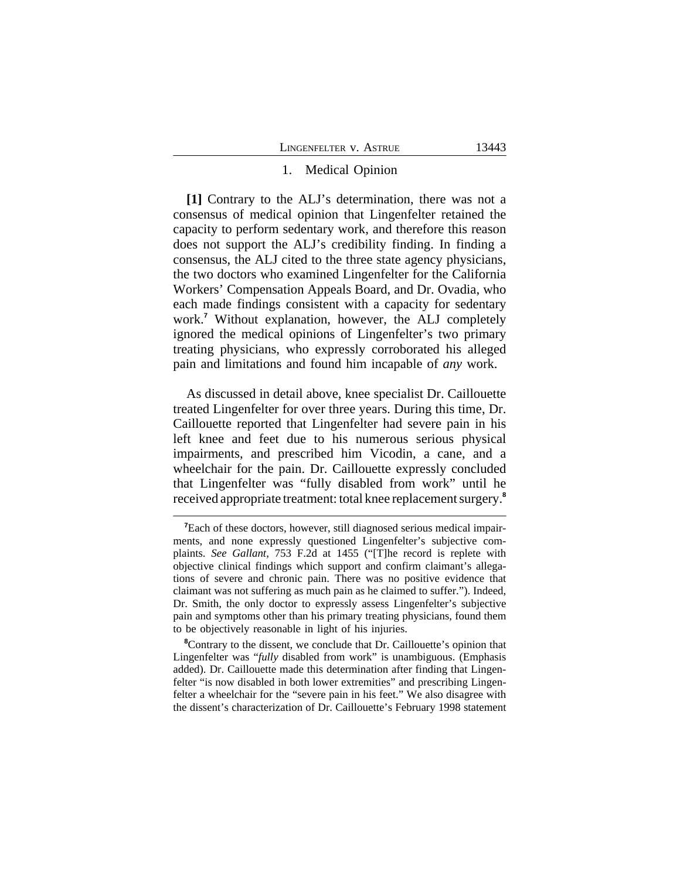#### 1. Medical Opinion

**[1]** Contrary to the ALJ's determination, there was not a consensus of medical opinion that Lingenfelter retained the capacity to perform sedentary work, and therefore this reason does not support the ALJ's credibility finding. In finding a consensus, the ALJ cited to the three state agency physicians, the two doctors who examined Lingenfelter for the California Workers' Compensation Appeals Board, and Dr. Ovadia, who each made findings consistent with a capacity for sedentary work.**<sup>7</sup>** Without explanation, however, the ALJ completely ignored the medical opinions of Lingenfelter's two primary treating physicians, who expressly corroborated his alleged pain and limitations and found him incapable of *any* work.

As discussed in detail above, knee specialist Dr. Caillouette treated Lingenfelter for over three years. During this time, Dr. Caillouette reported that Lingenfelter had severe pain in his left knee and feet due to his numerous serious physical impairments, and prescribed him Vicodin, a cane, and a wheelchair for the pain. Dr. Caillouette expressly concluded that Lingenfelter was "fully disabled from work" until he received appropriate treatment: total knee replacement surgery.**<sup>8</sup>**

**<sup>7</sup>**Each of these doctors, however, still diagnosed serious medical impairments, and none expressly questioned Lingenfelter's subjective complaints. *See Gallant*, 753 F.2d at 1455 ("[T]he record is replete with objective clinical findings which support and confirm claimant's allegations of severe and chronic pain. There was no positive evidence that claimant was not suffering as much pain as he claimed to suffer."). Indeed, Dr. Smith, the only doctor to expressly assess Lingenfelter's subjective pain and symptoms other than his primary treating physicians, found them to be objectively reasonable in light of his injuries.

<sup>&</sup>lt;sup>8</sup>Contrary to the dissent, we conclude that Dr. Caillouette's opinion that Lingenfelter was "*fully* disabled from work" is unambiguous. (Emphasis added). Dr. Caillouette made this determination after finding that Lingenfelter "is now disabled in both lower extremities" and prescribing Lingenfelter a wheelchair for the "severe pain in his feet." We also disagree with the dissent's characterization of Dr. Caillouette's February 1998 statement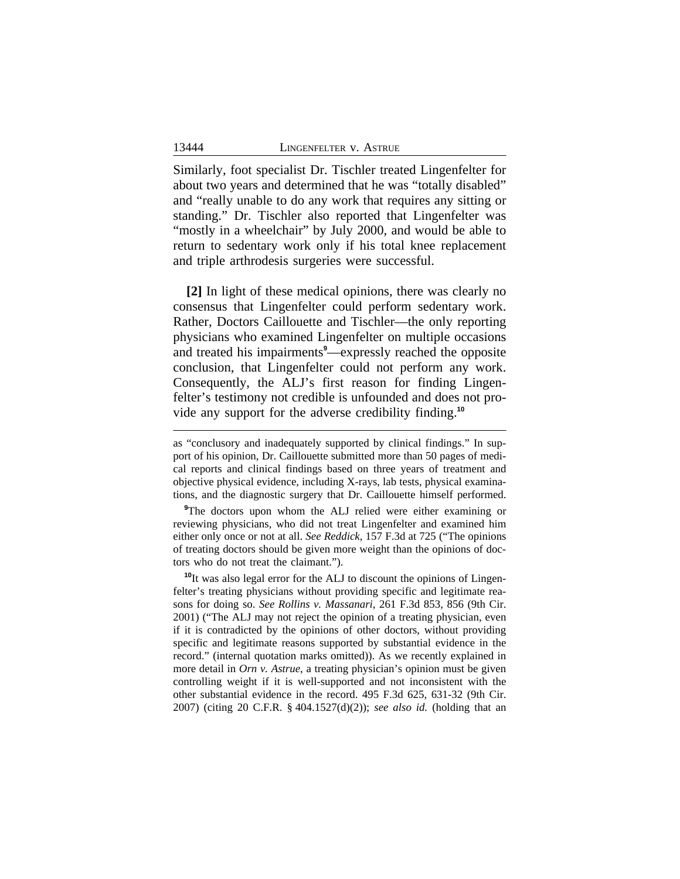Similarly, foot specialist Dr. Tischler treated Lingenfelter for about two years and determined that he was "totally disabled" and "really unable to do any work that requires any sitting or standing." Dr. Tischler also reported that Lingenfelter was "mostly in a wheelchair" by July 2000, and would be able to return to sedentary work only if his total knee replacement and triple arthrodesis surgeries were successful.

**[2]** In light of these medical opinions, there was clearly no consensus that Lingenfelter could perform sedentary work. Rather, Doctors Caillouette and Tischler—the only reporting physicians who examined Lingenfelter on multiple occasions and treated his impairments**<sup>9</sup>**—expressly reached the opposite conclusion, that Lingenfelter could not perform any work. Consequently, the ALJ's first reason for finding Lingenfelter's testimony not credible is unfounded and does not provide any support for the adverse credibility finding.**<sup>10</sup>**

**<sup>9</sup>**The doctors upon whom the ALJ relied were either examining or reviewing physicians, who did not treat Lingenfelter and examined him either only once or not at all. *See Reddick*, 157 F.3d at 725 ("The opinions of treating doctors should be given more weight than the opinions of doctors who do not treat the claimant.").

**<sup>10</sup>**It was also legal error for the ALJ to discount the opinions of Lingenfelter's treating physicians without providing specific and legitimate reasons for doing so. *See Rollins v. Massanari*, 261 F.3d 853, 856 (9th Cir. 2001) ("The ALJ may not reject the opinion of a treating physician, even if it is contradicted by the opinions of other doctors, without providing specific and legitimate reasons supported by substantial evidence in the record." (internal quotation marks omitted)). As we recently explained in more detail in *Orn v. Astrue*, a treating physician's opinion must be given controlling weight if it is well-supported and not inconsistent with the other substantial evidence in the record. 495 F.3d 625, 631-32 (9th Cir. 2007) (citing 20 C.F.R. § 404.1527(d)(2)); *see also id.* (holding that an

as "conclusory and inadequately supported by clinical findings." In support of his opinion, Dr. Caillouette submitted more than 50 pages of medical reports and clinical findings based on three years of treatment and objective physical evidence, including X-rays, lab tests, physical examinations, and the diagnostic surgery that Dr. Caillouette himself performed.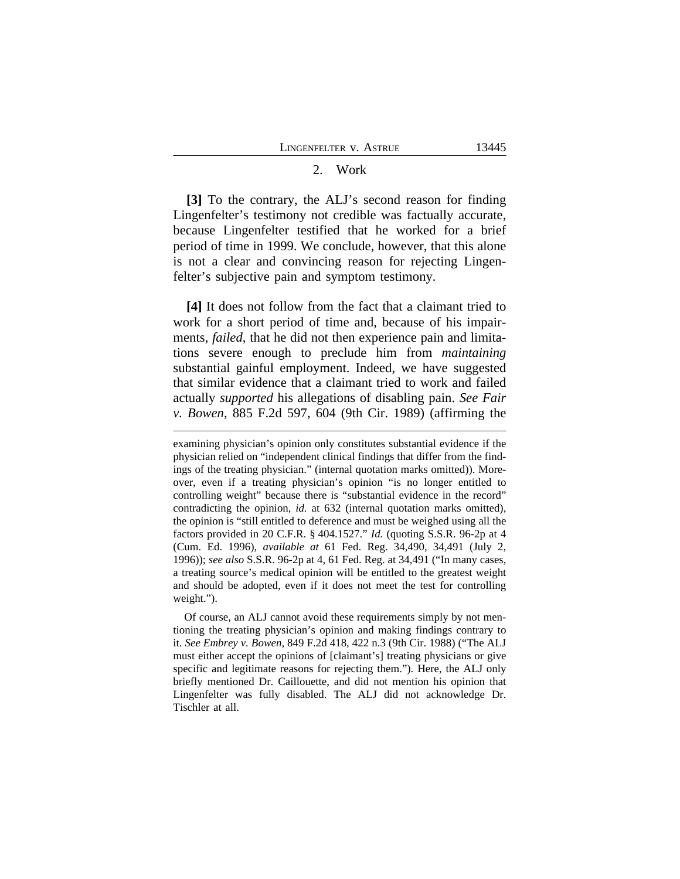#### 2. Work

**[3]** To the contrary, the ALJ's second reason for finding Lingenfelter's testimony not credible was factually accurate, because Lingenfelter testified that he worked for a brief period of time in 1999. We conclude, however, that this alone is not a clear and convincing reason for rejecting Lingenfelter's subjective pain and symptom testimony.

**[4]** It does not follow from the fact that a claimant tried to work for a short period of time and, because of his impairments, *failed*, that he did not then experience pain and limitations severe enough to preclude him from *maintaining* substantial gainful employment. Indeed, we have suggested that similar evidence that a claimant tried to work and failed actually *supported* his allegations of disabling pain. *See Fair v. Bowen*, 885 F.2d 597, 604 (9th Cir. 1989) (affirming the

examining physician's opinion only constitutes substantial evidence if the physician relied on "independent clinical findings that differ from the findings of the treating physician." (internal quotation marks omitted)). Moreover, even if a treating physician's opinion "is no longer entitled to controlling weight" because there is "substantial evidence in the record" contradicting the opinion, *id.* at 632 (internal quotation marks omitted), the opinion is "still entitled to deference and must be weighed using all the factors provided in 20 C.F.R. § 404.1527." *Id.* (quoting S.S.R. 96-2p at 4 (Cum. Ed. 1996), *available at* 61 Fed. Reg. 34,490, 34,491 (July 2, 1996)); *see also* S.S.R. 96-2p at 4, 61 Fed. Reg. at 34,491 ("In many cases, a treating source's medical opinion will be entitled to the greatest weight and should be adopted, even if it does not meet the test for controlling weight.").

Of course, an ALJ cannot avoid these requirements simply by not mentioning the treating physician's opinion and making findings contrary to it. *See Embrey v. Bowen*, 849 F.2d 418, 422 n.3 (9th Cir. 1988) ("The ALJ must either accept the opinions of [claimant's] treating physicians or give specific and legitimate reasons for rejecting them."). Here, the ALJ only briefly mentioned Dr. Caillouette, and did not mention his opinion that Lingenfelter was fully disabled. The ALJ did not acknowledge Dr. Tischler at all.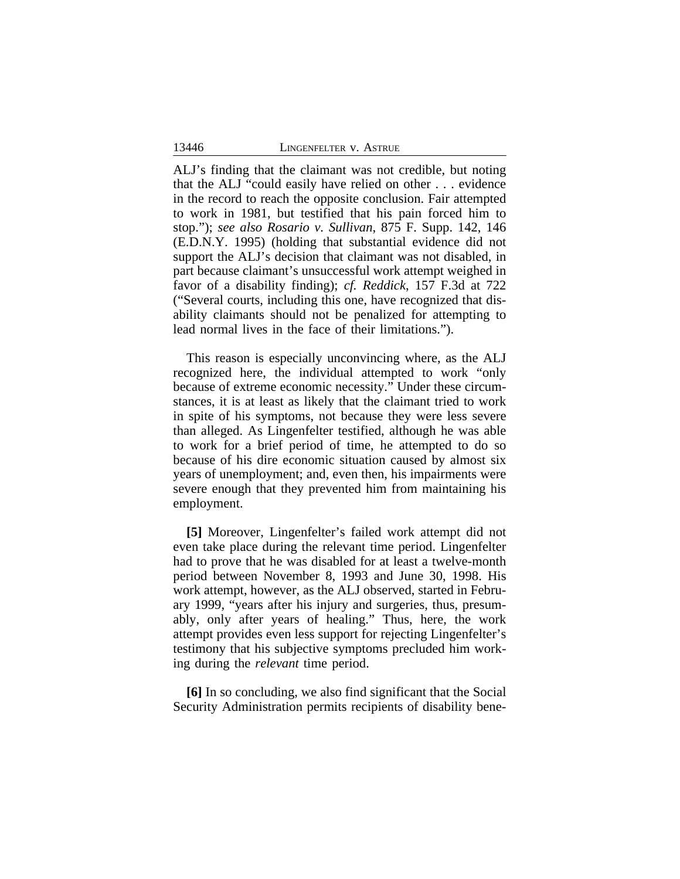ALJ's finding that the claimant was not credible, but noting that the ALJ "could easily have relied on other . . . evidence in the record to reach the opposite conclusion. Fair attempted to work in 1981, but testified that his pain forced him to stop."); *see also Rosario v. Sullivan*, 875 F. Supp. 142, 146 (E.D.N.Y. 1995) (holding that substantial evidence did not support the ALJ's decision that claimant was not disabled, in part because claimant's unsuccessful work attempt weighed in favor of a disability finding); *cf. Reddick*, 157 F.3d at 722 ("Several courts, including this one, have recognized that disability claimants should not be penalized for attempting to lead normal lives in the face of their limitations.").

This reason is especially unconvincing where, as the ALJ recognized here, the individual attempted to work "only because of extreme economic necessity." Under these circumstances, it is at least as likely that the claimant tried to work in spite of his symptoms, not because they were less severe than alleged. As Lingenfelter testified, although he was able to work for a brief period of time, he attempted to do so because of his dire economic situation caused by almost six years of unemployment; and, even then, his impairments were severe enough that they prevented him from maintaining his employment.

**[5]** Moreover, Lingenfelter's failed work attempt did not even take place during the relevant time period. Lingenfelter had to prove that he was disabled for at least a twelve-month period between November 8, 1993 and June 30, 1998. His work attempt, however, as the ALJ observed, started in February 1999, "years after his injury and surgeries, thus, presumably, only after years of healing." Thus, here, the work attempt provides even less support for rejecting Lingenfelter's testimony that his subjective symptoms precluded him working during the *relevant* time period.

**[6]** In so concluding, we also find significant that the Social Security Administration permits recipients of disability bene-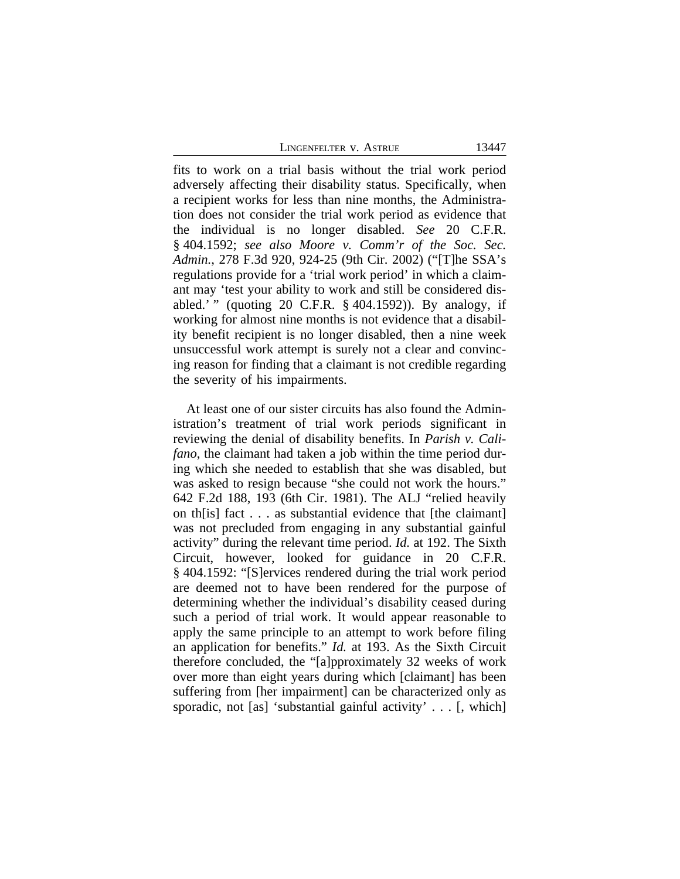LINGENFELTER V. ASTRUE 13447

fits to work on a trial basis without the trial work period adversely affecting their disability status. Specifically, when a recipient works for less than nine months, the Administration does not consider the trial work period as evidence that the individual is no longer disabled. *See* 20 C.F.R. § 404.1592; *see also Moore v. Comm'r of the Soc. Sec. Admin.*, 278 F.3d 920, 924-25 (9th Cir. 2002) ("[T]he SSA's regulations provide for a 'trial work period' in which a claimant may 'test your ability to work and still be considered disabled.' " (quoting 20 C.F.R. § 404.1592)). By analogy, if working for almost nine months is not evidence that a disability benefit recipient is no longer disabled, then a nine week unsuccessful work attempt is surely not a clear and convincing reason for finding that a claimant is not credible regarding the severity of his impairments.

At least one of our sister circuits has also found the Administration's treatment of trial work periods significant in reviewing the denial of disability benefits. In *Parish v. Califano*, the claimant had taken a job within the time period during which she needed to establish that she was disabled, but was asked to resign because "she could not work the hours." 642 F.2d 188, 193 (6th Cir. 1981). The ALJ "relied heavily on th[is] fact . . . as substantial evidence that [the claimant] was not precluded from engaging in any substantial gainful activity" during the relevant time period. *Id.* at 192. The Sixth Circuit, however, looked for guidance in 20 C.F.R. § 404.1592: "[S]ervices rendered during the trial work period are deemed not to have been rendered for the purpose of determining whether the individual's disability ceased during such a period of trial work. It would appear reasonable to apply the same principle to an attempt to work before filing an application for benefits." *Id.* at 193. As the Sixth Circuit therefore concluded, the "[a]pproximately 32 weeks of work over more than eight years during which [claimant] has been suffering from [her impairment] can be characterized only as sporadic, not [as] 'substantial gainful activity' . . . [, which]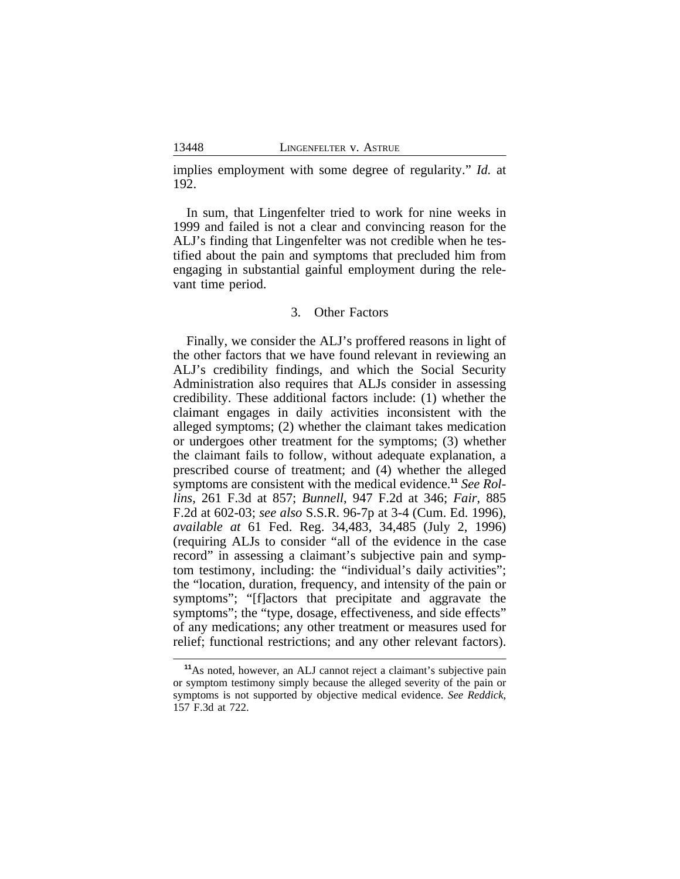implies employment with some degree of regularity." *Id.* at 192.

In sum, that Lingenfelter tried to work for nine weeks in 1999 and failed is not a clear and convincing reason for the ALJ's finding that Lingenfelter was not credible when he testified about the pain and symptoms that precluded him from engaging in substantial gainful employment during the relevant time period.

## 3. Other Factors

Finally, we consider the ALJ's proffered reasons in light of the other factors that we have found relevant in reviewing an ALJ's credibility findings, and which the Social Security Administration also requires that ALJs consider in assessing credibility. These additional factors include: (1) whether the claimant engages in daily activities inconsistent with the alleged symptoms; (2) whether the claimant takes medication or undergoes other treatment for the symptoms; (3) whether the claimant fails to follow, without adequate explanation, a prescribed course of treatment; and (4) whether the alleged symptoms are consistent with the medical evidence.**<sup>11</sup>** *See Rollins*, 261 F.3d at 857; *Bunnell*, 947 F.2d at 346; *Fair*, 885 F.2d at 602-03; *see also* S.S.R. 96-7p at 3-4 (Cum. Ed. 1996), *available at* 61 Fed. Reg. 34,483, 34,485 (July 2, 1996) (requiring ALJs to consider "all of the evidence in the case record" in assessing a claimant's subjective pain and symptom testimony, including: the "individual's daily activities"; the "location, duration, frequency, and intensity of the pain or symptoms"; "[f]actors that precipitate and aggravate the symptoms"; the "type, dosage, effectiveness, and side effects" of any medications; any other treatment or measures used for relief; functional restrictions; and any other relevant factors).

**<sup>11</sup>**As noted, however, an ALJ cannot reject a claimant's subjective pain or symptom testimony simply because the alleged severity of the pain or symptoms is not supported by objective medical evidence. *See Reddick*, 157 F.3d at 722.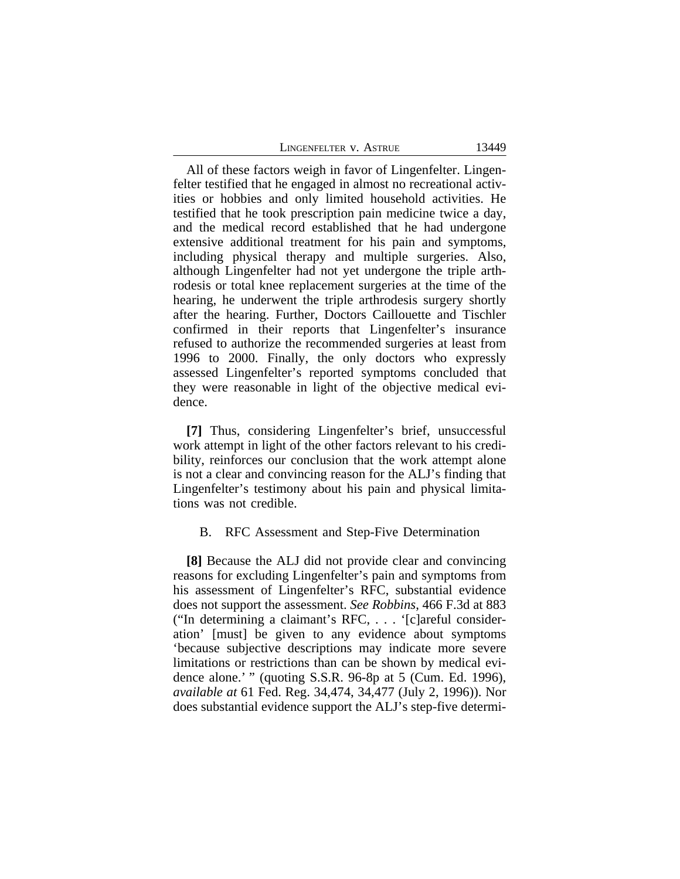All of these factors weigh in favor of Lingenfelter. Lingenfelter testified that he engaged in almost no recreational activities or hobbies and only limited household activities. He testified that he took prescription pain medicine twice a day, and the medical record established that he had undergone extensive additional treatment for his pain and symptoms, including physical therapy and multiple surgeries. Also, although Lingenfelter had not yet undergone the triple arthrodesis or total knee replacement surgeries at the time of the hearing, he underwent the triple arthrodesis surgery shortly after the hearing. Further, Doctors Caillouette and Tischler confirmed in their reports that Lingenfelter's insurance refused to authorize the recommended surgeries at least from 1996 to 2000. Finally, the only doctors who expressly assessed Lingenfelter's reported symptoms concluded that they were reasonable in light of the objective medical evidence.

**[7]** Thus, considering Lingenfelter's brief, unsuccessful work attempt in light of the other factors relevant to his credibility, reinforces our conclusion that the work attempt alone is not a clear and convincing reason for the ALJ's finding that Lingenfelter's testimony about his pain and physical limitations was not credible.

#### B. RFC Assessment and Step-Five Determination

**[8]** Because the ALJ did not provide clear and convincing reasons for excluding Lingenfelter's pain and symptoms from his assessment of Lingenfelter's RFC, substantial evidence does not support the assessment. *See Robbins*, 466 F.3d at 883 ("In determining a claimant's RFC, . . . '[c]areful consideration' [must] be given to any evidence about symptoms 'because subjective descriptions may indicate more severe limitations or restrictions than can be shown by medical evidence alone.' " (quoting S.S.R. 96-8p at 5 (Cum. Ed. 1996), *available at* 61 Fed. Reg. 34,474, 34,477 (July 2, 1996)). Nor does substantial evidence support the ALJ's step-five determi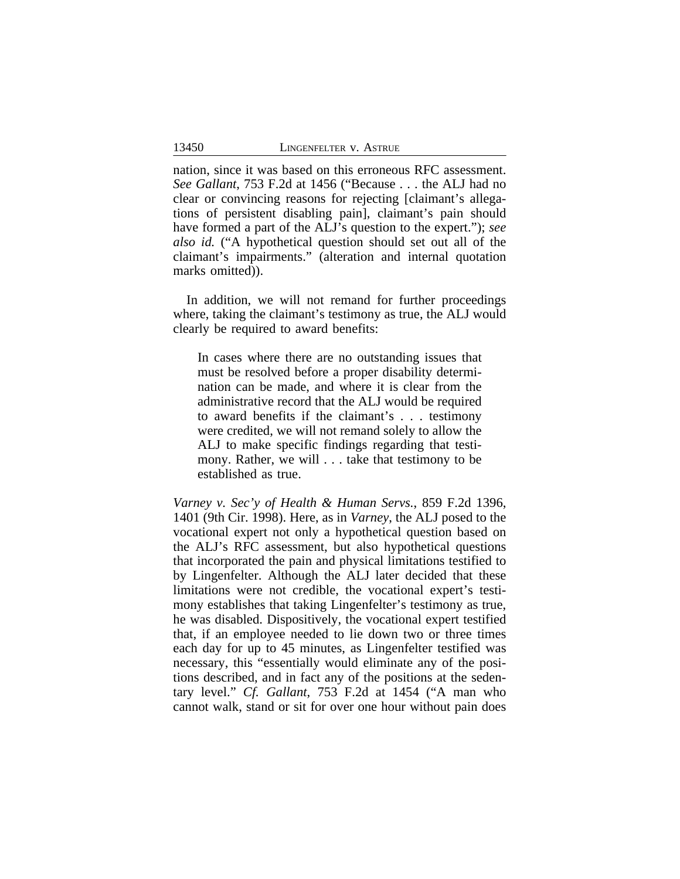nation, since it was based on this erroneous RFC assessment. *See Gallant*, 753 F.2d at 1456 ("Because . . . the ALJ had no clear or convincing reasons for rejecting [claimant's allegations of persistent disabling pain], claimant's pain should have formed a part of the ALJ's question to the expert."); *see also id.* ("A hypothetical question should set out all of the claimant's impairments." (alteration and internal quotation marks omitted)).

In addition, we will not remand for further proceedings where, taking the claimant's testimony as true, the ALJ would clearly be required to award benefits:

In cases where there are no outstanding issues that must be resolved before a proper disability determination can be made, and where it is clear from the administrative record that the ALJ would be required to award benefits if the claimant's . . . testimony were credited, we will not remand solely to allow the ALJ to make specific findings regarding that testimony. Rather, we will . . . take that testimony to be established as true.

*Varney v. Sec'y of Health & Human Servs.*, 859 F.2d 1396, 1401 (9th Cir. 1998). Here, as in *Varney*, the ALJ posed to the vocational expert not only a hypothetical question based on the ALJ's RFC assessment, but also hypothetical questions that incorporated the pain and physical limitations testified to by Lingenfelter. Although the ALJ later decided that these limitations were not credible, the vocational expert's testimony establishes that taking Lingenfelter's testimony as true, he was disabled. Dispositively, the vocational expert testified that, if an employee needed to lie down two or three times each day for up to 45 minutes, as Lingenfelter testified was necessary, this "essentially would eliminate any of the positions described, and in fact any of the positions at the sedentary level." *Cf. Gallant*, 753 F.2d at 1454 ("A man who cannot walk, stand or sit for over one hour without pain does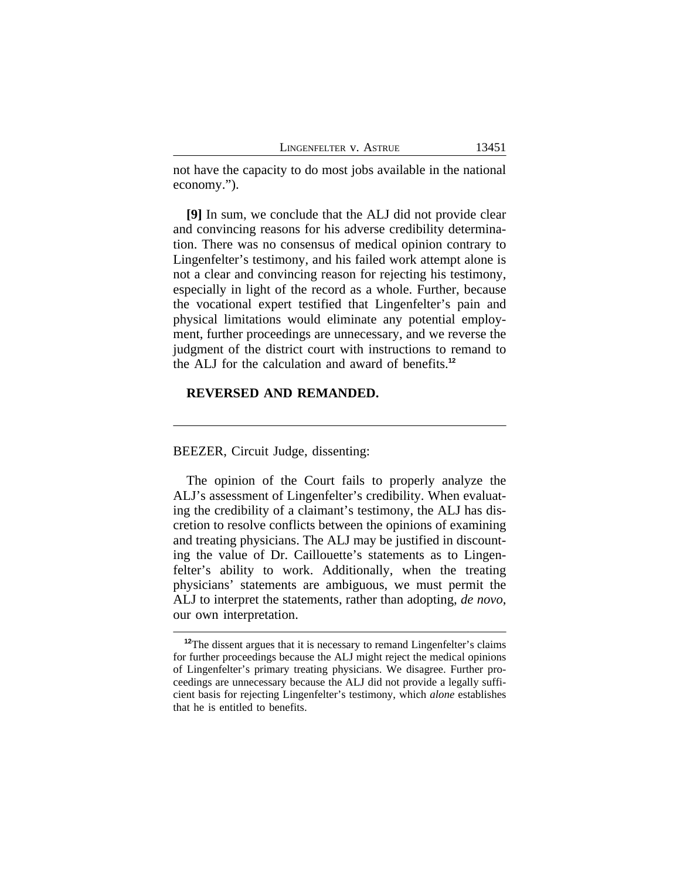not have the capacity to do most jobs available in the national economy.").

**[9]** In sum, we conclude that the ALJ did not provide clear and convincing reasons for his adverse credibility determination. There was no consensus of medical opinion contrary to Lingenfelter's testimony, and his failed work attempt alone is not a clear and convincing reason for rejecting his testimony, especially in light of the record as a whole. Further, because the vocational expert testified that Lingenfelter's pain and physical limitations would eliminate any potential employment, further proceedings are unnecessary, and we reverse the judgment of the district court with instructions to remand to the ALJ for the calculation and award of benefits.**<sup>12</sup>**

## **REVERSED AND REMANDED.**

BEEZER, Circuit Judge, dissenting:

The opinion of the Court fails to properly analyze the ALJ's assessment of Lingenfelter's credibility. When evaluating the credibility of a claimant's testimony, the ALJ has discretion to resolve conflicts between the opinions of examining and treating physicians. The ALJ may be justified in discounting the value of Dr. Caillouette's statements as to Lingenfelter's ability to work. Additionally, when the treating physicians' statements are ambiguous, we must permit the ALJ to interpret the statements, rather than adopting, *de novo*, our own interpretation.

<sup>&</sup>lt;sup>12</sup>The dissent argues that it is necessary to remand Lingenfelter's claims for further proceedings because the ALJ might reject the medical opinions of Lingenfelter's primary treating physicians. We disagree. Further proceedings are unnecessary because the ALJ did not provide a legally sufficient basis for rejecting Lingenfelter's testimony, which *alone* establishes that he is entitled to benefits.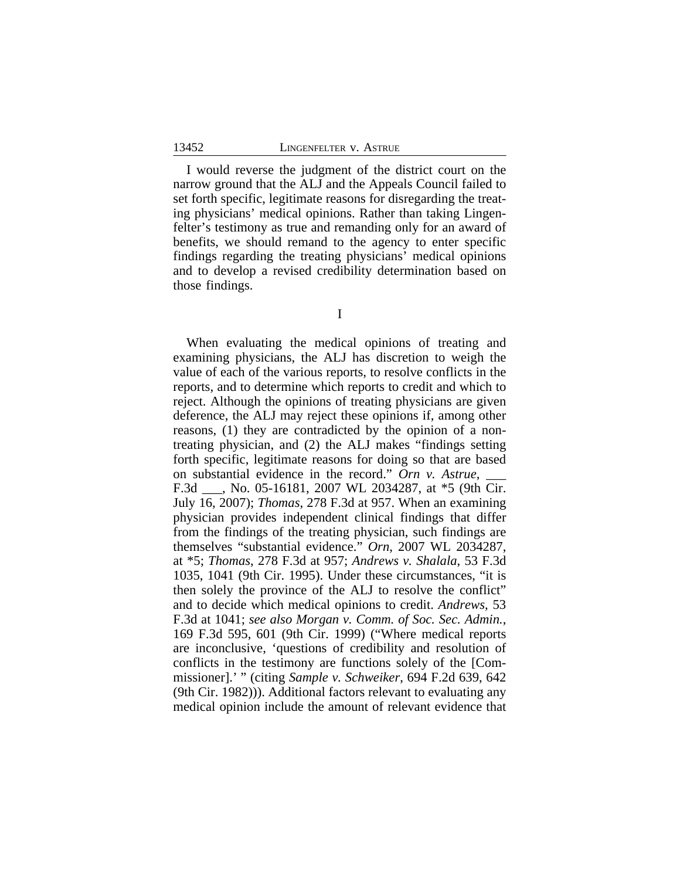I would reverse the judgment of the district court on the narrow ground that the ALJ and the Appeals Council failed to set forth specific, legitimate reasons for disregarding the treating physicians' medical opinions. Rather than taking Lingenfelter's testimony as true and remanding only for an award of benefits, we should remand to the agency to enter specific findings regarding the treating physicians' medical opinions and to develop a revised credibility determination based on those findings.

I

When evaluating the medical opinions of treating and examining physicians, the ALJ has discretion to weigh the value of each of the various reports, to resolve conflicts in the reports, and to determine which reports to credit and which to reject. Although the opinions of treating physicians are given deference, the ALJ may reject these opinions if, among other reasons, (1) they are contradicted by the opinion of a nontreating physician, and (2) the ALJ makes "findings setting forth specific, legitimate reasons for doing so that are based on substantial evidence in the record." Orn v. Astrue, F.3d \_\_\_, No. 05-16181, 2007 WL 2034287, at \*5 (9th Cir. July 16, 2007); *Thomas*, 278 F.3d at 957. When an examining physician provides independent clinical findings that differ from the findings of the treating physician, such findings are themselves "substantial evidence." *Orn*, 2007 WL 2034287, at \*5; *Thomas*, 278 F.3d at 957; *Andrews v. Shalala*, 53 F.3d 1035, 1041 (9th Cir. 1995). Under these circumstances, "it is then solely the province of the ALJ to resolve the conflict" and to decide which medical opinions to credit. *Andrews*, 53 F.3d at 1041; *see also Morgan v. Comm. of Soc. Sec. Admin.*, 169 F.3d 595, 601 (9th Cir. 1999) ("Where medical reports are inconclusive, 'questions of credibility and resolution of conflicts in the testimony are functions solely of the [Commissioner].' " (citing *Sample v. Schweiker*, 694 F.2d 639, 642 (9th Cir. 1982))). Additional factors relevant to evaluating any medical opinion include the amount of relevant evidence that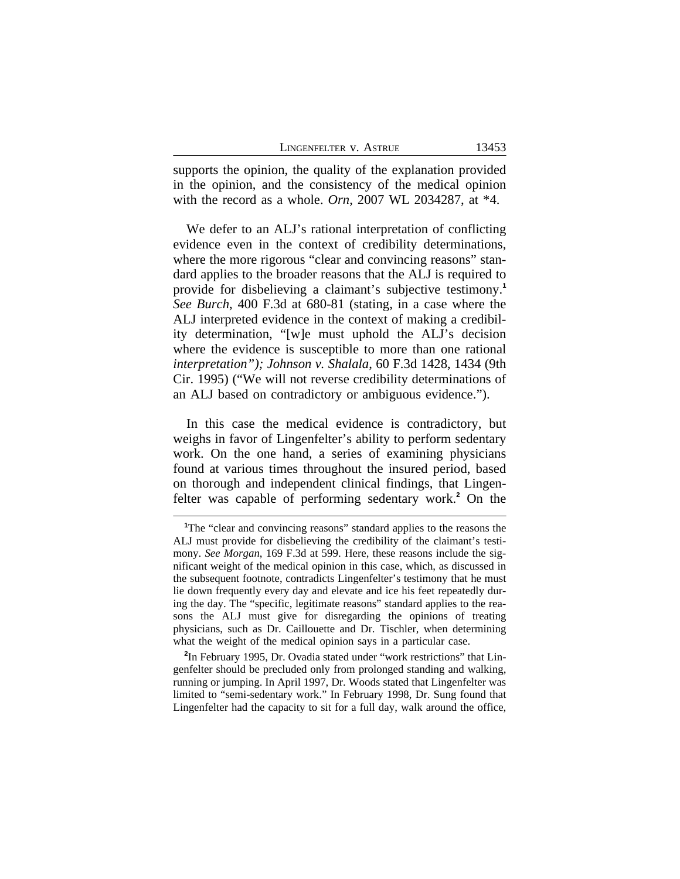| LINGENFELTER V. ASTRUE |  |  |
|------------------------|--|--|
|------------------------|--|--|

13453

supports the opinion, the quality of the explanation provided in the opinion, and the consistency of the medical opinion with the record as a whole. *Orn*, 2007 WL 2034287, at \*4.

We defer to an ALJ's rational interpretation of conflicting evidence even in the context of credibility determinations, where the more rigorous "clear and convincing reasons" standard applies to the broader reasons that the ALJ is required to provide for disbelieving a claimant's subjective testimony.**<sup>1</sup>** *See Burch*, 400 F.3d at 680-81 (stating, in a case where the ALJ interpreted evidence in the context of making a credibility determination, "[w]e must uphold the ALJ's decision where the evidence is susceptible to more than one rational *interpretation"); Johnson v. Shalala*, 60 F.3d 1428, 1434 (9th Cir. 1995) ("We will not reverse credibility determinations of an ALJ based on contradictory or ambiguous evidence.").

In this case the medical evidence is contradictory, but weighs in favor of Lingenfelter's ability to perform sedentary work. On the one hand, a series of examining physicians found at various times throughout the insured period, based on thorough and independent clinical findings, that Lingenfelter was capable of performing sedentary work.**<sup>2</sup>** On the

<sup>&</sup>lt;sup>1</sup>The "clear and convincing reasons" standard applies to the reasons the ALJ must provide for disbelieving the credibility of the claimant's testimony. *See Morgan*, 169 F.3d at 599. Here, these reasons include the significant weight of the medical opinion in this case, which, as discussed in the subsequent footnote, contradicts Lingenfelter's testimony that he must lie down frequently every day and elevate and ice his feet repeatedly during the day. The "specific, legitimate reasons" standard applies to the reasons the ALJ must give for disregarding the opinions of treating physicians, such as Dr. Caillouette and Dr. Tischler, when determining what the weight of the medical opinion says in a particular case.

**<sup>2</sup>** In February 1995, Dr. Ovadia stated under "work restrictions" that Lingenfelter should be precluded only from prolonged standing and walking, running or jumping. In April 1997, Dr. Woods stated that Lingenfelter was limited to "semi-sedentary work." In February 1998, Dr. Sung found that Lingenfelter had the capacity to sit for a full day, walk around the office,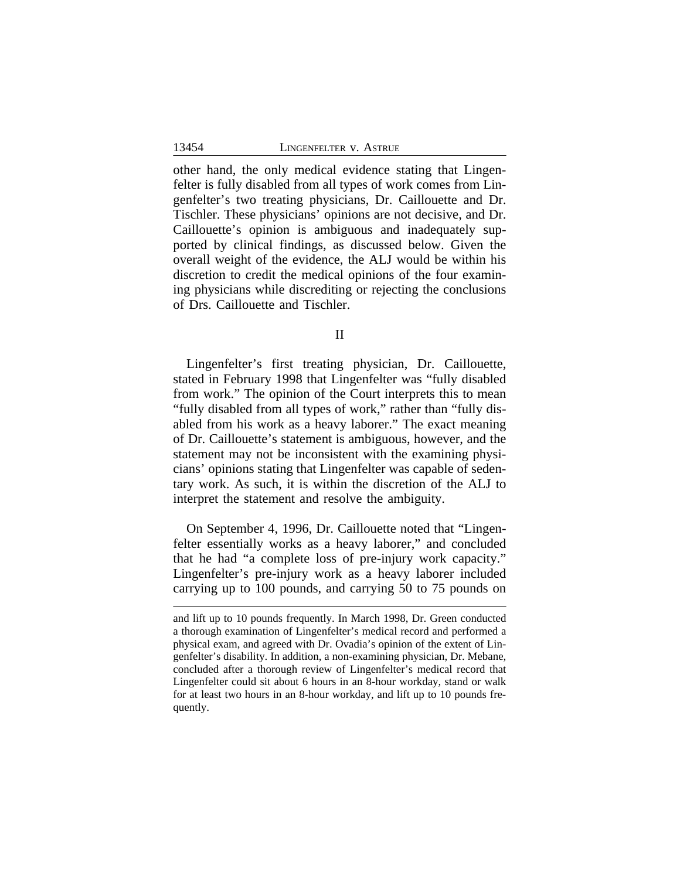other hand, the only medical evidence stating that Lingenfelter is fully disabled from all types of work comes from Lingenfelter's two treating physicians, Dr. Caillouette and Dr. Tischler. These physicians' opinions are not decisive, and Dr. Caillouette's opinion is ambiguous and inadequately supported by clinical findings, as discussed below. Given the overall weight of the evidence, the ALJ would be within his discretion to credit the medical opinions of the four examining physicians while discrediting or rejecting the conclusions of Drs. Caillouette and Tischler.

II

Lingenfelter's first treating physician, Dr. Caillouette, stated in February 1998 that Lingenfelter was "fully disabled from work." The opinion of the Court interprets this to mean "fully disabled from all types of work," rather than "fully disabled from his work as a heavy laborer." The exact meaning of Dr. Caillouette's statement is ambiguous, however, and the statement may not be inconsistent with the examining physicians' opinions stating that Lingenfelter was capable of sedentary work. As such, it is within the discretion of the ALJ to interpret the statement and resolve the ambiguity.

On September 4, 1996, Dr. Caillouette noted that "Lingenfelter essentially works as a heavy laborer," and concluded that he had "a complete loss of pre-injury work capacity." Lingenfelter's pre-injury work as a heavy laborer included carrying up to 100 pounds, and carrying 50 to 75 pounds on

and lift up to 10 pounds frequently. In March 1998, Dr. Green conducted a thorough examination of Lingenfelter's medical record and performed a physical exam, and agreed with Dr. Ovadia's opinion of the extent of Lingenfelter's disability. In addition, a non-examining physician, Dr. Mebane, concluded after a thorough review of Lingenfelter's medical record that Lingenfelter could sit about 6 hours in an 8-hour workday, stand or walk for at least two hours in an 8-hour workday, and lift up to 10 pounds frequently.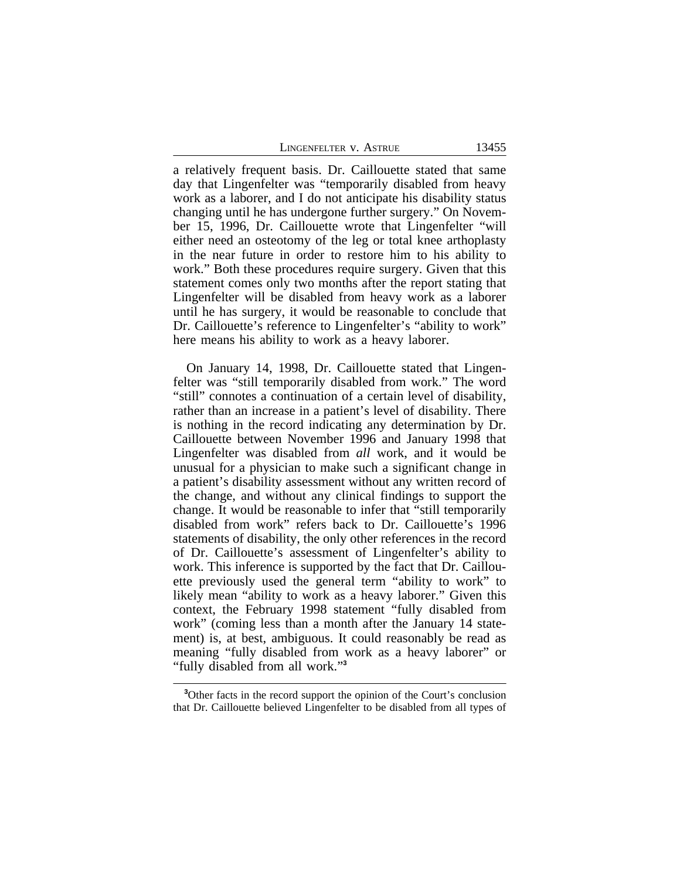LINGENFELTER V. ASTRUE 13455

a relatively frequent basis. Dr. Caillouette stated that same day that Lingenfelter was "temporarily disabled from heavy work as a laborer, and I do not anticipate his disability status changing until he has undergone further surgery." On November 15, 1996, Dr. Caillouette wrote that Lingenfelter "will either need an osteotomy of the leg or total knee arthoplasty in the near future in order to restore him to his ability to work." Both these procedures require surgery. Given that this statement comes only two months after the report stating that Lingenfelter will be disabled from heavy work as a laborer until he has surgery, it would be reasonable to conclude that Dr. Caillouette's reference to Lingenfelter's "ability to work" here means his ability to work as a heavy laborer.

On January 14, 1998, Dr. Caillouette stated that Lingenfelter was "still temporarily disabled from work." The word "still" connotes a continuation of a certain level of disability, rather than an increase in a patient's level of disability. There is nothing in the record indicating any determination by Dr. Caillouette between November 1996 and January 1998 that Lingenfelter was disabled from *all* work, and it would be unusual for a physician to make such a significant change in a patient's disability assessment without any written record of the change, and without any clinical findings to support the change. It would be reasonable to infer that "still temporarily disabled from work" refers back to Dr. Caillouette's 1996 statements of disability, the only other references in the record of Dr. Caillouette's assessment of Lingenfelter's ability to work. This inference is supported by the fact that Dr. Caillouette previously used the general term "ability to work" to likely mean "ability to work as a heavy laborer." Given this context, the February 1998 statement "fully disabled from work" (coming less than a month after the January 14 statement) is, at best, ambiguous. It could reasonably be read as meaning "fully disabled from work as a heavy laborer" or "fully disabled from all work." **3**

**<sup>3</sup>**Other facts in the record support the opinion of the Court's conclusion that Dr. Caillouette believed Lingenfelter to be disabled from all types of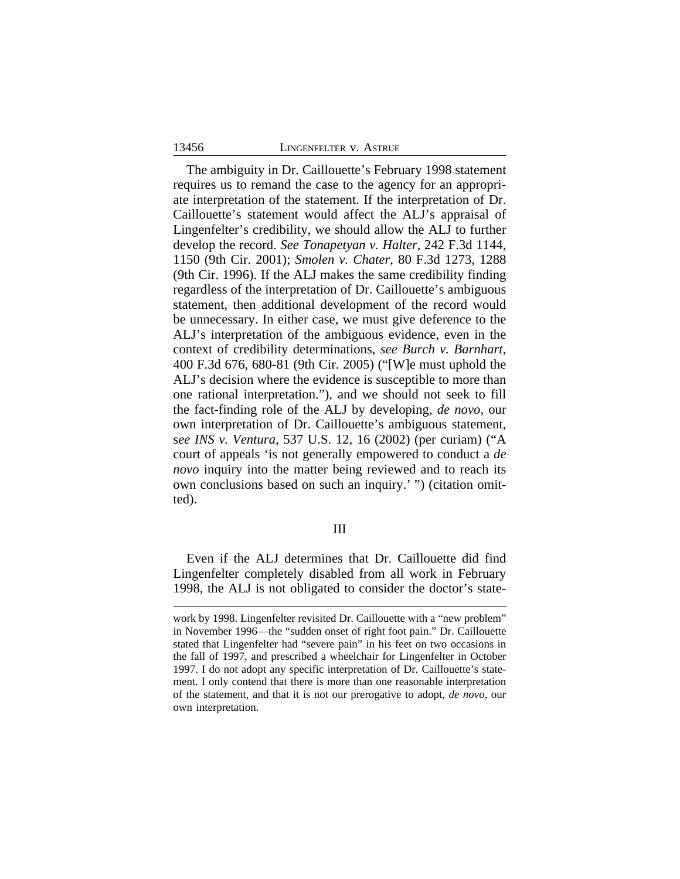#### 13456 LINGENFELTER v. ASTRUE

The ambiguity in Dr. Caillouette's February 1998 statement requires us to remand the case to the agency for an appropriate interpretation of the statement. If the interpretation of Dr. Caillouette's statement would affect the ALJ's appraisal of Lingenfelter's credibility, we should allow the ALJ to further develop the record. *See Tonapetyan v. Halter*, 242 F.3d 1144, 1150 (9th Cir. 2001); *Smolen v. Chater*, 80 F.3d 1273, 1288 (9th Cir. 1996). If the ALJ makes the same credibility finding regardless of the interpretation of Dr. Caillouette's ambiguous statement, then additional development of the record would be unnecessary. In either case, we must give deference to the ALJ's interpretation of the ambiguous evidence, even in the context of credibility determinations, *see Burch v. Barnhart*, 400 F.3d 676, 680-81 (9th Cir. 2005) ("[W]e must uphold the ALJ's decision where the evidence is susceptible to more than one rational interpretation."), and we should not seek to fill the fact-finding role of the ALJ by developing, *de novo*, our own interpretation of Dr. Caillouette's ambiguous statement, s*ee INS v. Ventura*, 537 U.S. 12, 16 (2002) (per curiam) ("A court of appeals 'is not generally empowered to conduct a *de novo* inquiry into the matter being reviewed and to reach its own conclusions based on such an inquiry.' ") (citation omitted).

## III

Even if the ALJ determines that Dr. Caillouette did find Lingenfelter completely disabled from all work in February 1998, the ALJ is not obligated to consider the doctor's state-

work by 1998. Lingenfelter revisited Dr. Caillouette with a "new problem" in November 1996—the "sudden onset of right foot pain." Dr. Caillouette stated that Lingenfelter had "severe pain" in his feet on two occasions in the fall of 1997, and prescribed a wheelchair for Lingenfelter in October 1997. I do not adopt any specific interpretation of Dr. Caillouette's statement. I only contend that there is more than one reasonable interpretation of the statement, and that it is not our prerogative to adopt, *de novo*, our own interpretation.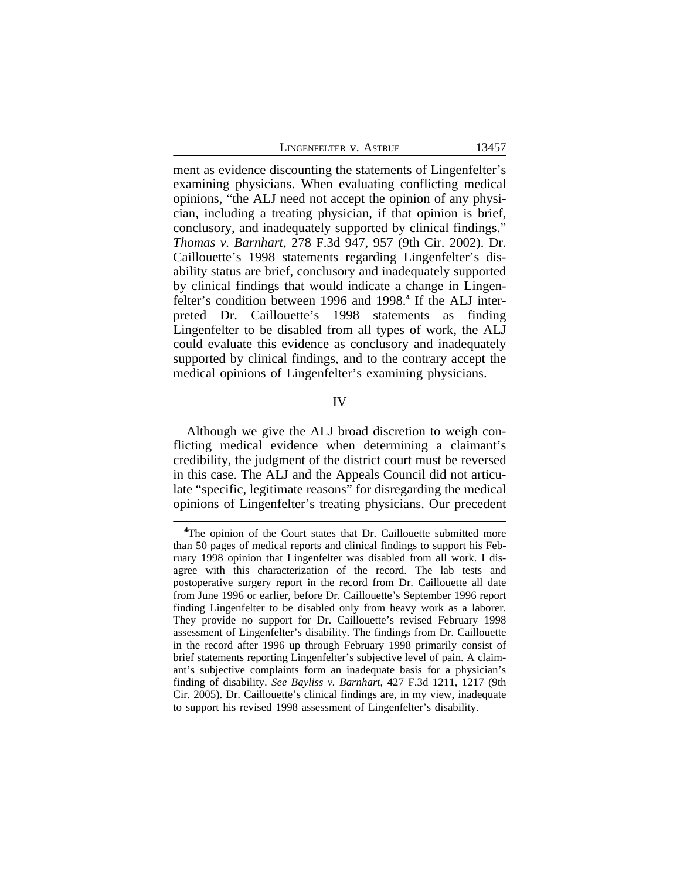| LINGENFELTER V. ASTRUE |  |
|------------------------|--|
|                        |  |

ment as evidence discounting the statements of Lingenfelter's examining physicians. When evaluating conflicting medical opinions, "the ALJ need not accept the opinion of any physician, including a treating physician, if that opinion is brief, conclusory, and inadequately supported by clinical findings." *Thomas v. Barnhart*, 278 F.3d 947, 957 (9th Cir. 2002). Dr. Caillouette's 1998 statements regarding Lingenfelter's disability status are brief, conclusory and inadequately supported by clinical findings that would indicate a change in Lingenfelter's condition between 1996 and 1998.**<sup>4</sup>** If the ALJ interpreted Dr. Caillouette's 1998 statements as finding Lingenfelter to be disabled from all types of work, the ALJ could evaluate this evidence as conclusory and inadequately supported by clinical findings, and to the contrary accept the medical opinions of Lingenfelter's examining physicians.

IV

Although we give the ALJ broad discretion to weigh conflicting medical evidence when determining a claimant's credibility, the judgment of the district court must be reversed in this case. The ALJ and the Appeals Council did not articulate "specific, legitimate reasons" for disregarding the medical opinions of Lingenfelter's treating physicians. Our precedent

**<sup>4</sup>**The opinion of the Court states that Dr. Caillouette submitted more than 50 pages of medical reports and clinical findings to support his February 1998 opinion that Lingenfelter was disabled from all work. I disagree with this characterization of the record. The lab tests and postoperative surgery report in the record from Dr. Caillouette all date from June 1996 or earlier, before Dr. Caillouette's September 1996 report finding Lingenfelter to be disabled only from heavy work as a laborer. They provide no support for Dr. Caillouette's revised February 1998 assessment of Lingenfelter's disability. The findings from Dr. Caillouette in the record after 1996 up through February 1998 primarily consist of brief statements reporting Lingenfelter's subjective level of pain. A claimant's subjective complaints form an inadequate basis for a physician's finding of disability. *See Bayliss v. Barnhart*, 427 F.3d 1211, 1217 (9th Cir. 2005). Dr. Caillouette's clinical findings are, in my view, inadequate to support his revised 1998 assessment of Lingenfelter's disability.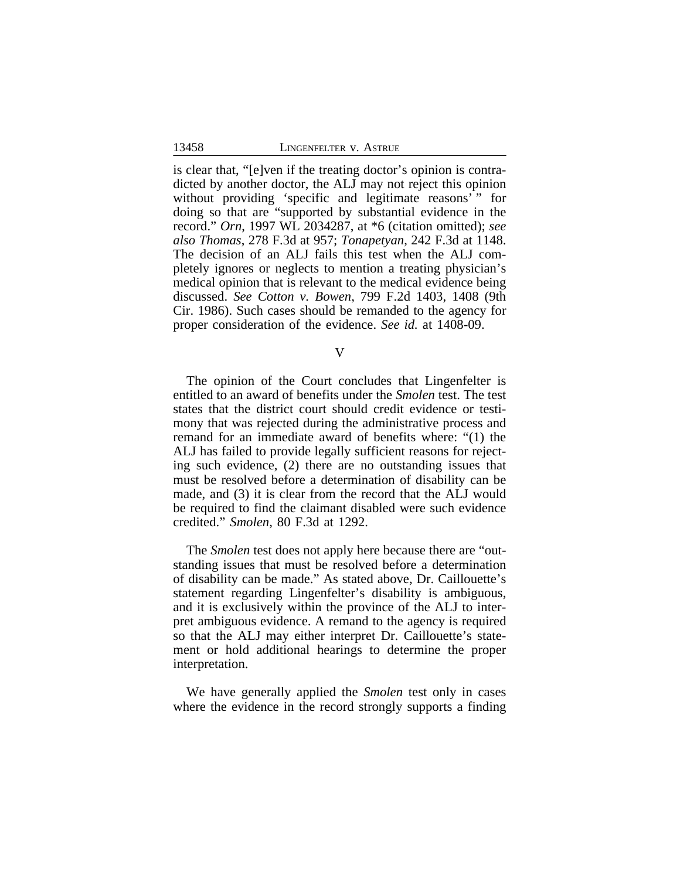is clear that, "[e]ven if the treating doctor's opinion is contradicted by another doctor, the ALJ may not reject this opinion without providing 'specific and legitimate reasons'" for doing so that are "supported by substantial evidence in the record." *Orn*, 1997 WL 2034287, at \*6 (citation omitted); *see also Thomas*, 278 F.3d at 957; *Tonapetyan*, 242 F.3d at 1148. The decision of an ALJ fails this test when the ALJ completely ignores or neglects to mention a treating physician's medical opinion that is relevant to the medical evidence being discussed. *See Cotton v. Bowen*, 799 F.2d 1403, 1408 (9th Cir. 1986). Such cases should be remanded to the agency for proper consideration of the evidence. *See id.* at 1408-09.

V

The opinion of the Court concludes that Lingenfelter is entitled to an award of benefits under the *Smolen* test. The test states that the district court should credit evidence or testimony that was rejected during the administrative process and remand for an immediate award of benefits where: "(1) the ALJ has failed to provide legally sufficient reasons for rejecting such evidence, (2) there are no outstanding issues that must be resolved before a determination of disability can be made, and (3) it is clear from the record that the ALJ would be required to find the claimant disabled were such evidence credited." *Smolen*, 80 F.3d at 1292.

The *Smolen* test does not apply here because there are "outstanding issues that must be resolved before a determination of disability can be made." As stated above, Dr. Caillouette's statement regarding Lingenfelter's disability is ambiguous, and it is exclusively within the province of the ALJ to interpret ambiguous evidence. A remand to the agency is required so that the ALJ may either interpret Dr. Caillouette's statement or hold additional hearings to determine the proper interpretation.

We have generally applied the *Smolen* test only in cases where the evidence in the record strongly supports a finding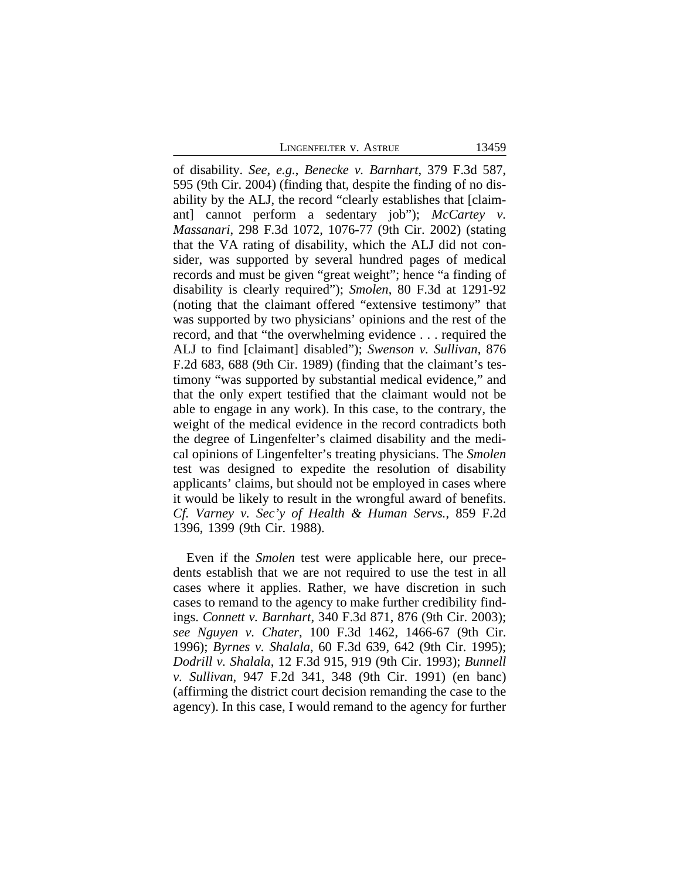LINGENFELTER V. ASTRUE 13459

of disability. *See, e.g.*, *Benecke v. Barnhart*, 379 F.3d 587, 595 (9th Cir. 2004) (finding that, despite the finding of no disability by the ALJ, the record "clearly establishes that [claimant] cannot perform a sedentary job"); *McCartey v. Massanari*, 298 F.3d 1072, 1076-77 (9th Cir. 2002) (stating that the VA rating of disability, which the ALJ did not consider, was supported by several hundred pages of medical records and must be given "great weight"; hence "a finding of disability is clearly required"); *Smolen*, 80 F.3d at 1291-92 (noting that the claimant offered "extensive testimony" that was supported by two physicians' opinions and the rest of the record, and that "the overwhelming evidence . . . required the ALJ to find [claimant] disabled"); *Swenson v. Sullivan*, 876 F.2d 683, 688 (9th Cir. 1989) (finding that the claimant's testimony "was supported by substantial medical evidence," and that the only expert testified that the claimant would not be able to engage in any work). In this case, to the contrary, the weight of the medical evidence in the record contradicts both the degree of Lingenfelter's claimed disability and the medical opinions of Lingenfelter's treating physicians. The *Smolen* test was designed to expedite the resolution of disability applicants' claims, but should not be employed in cases where it would be likely to result in the wrongful award of benefits. *Cf. Varney v. Sec'y of Health & Human Servs.*, 859 F.2d 1396, 1399 (9th Cir. 1988).

Even if the *Smolen* test were applicable here, our precedents establish that we are not required to use the test in all cases where it applies. Rather, we have discretion in such cases to remand to the agency to make further credibility findings. *Connett v. Barnhart*, 340 F.3d 871, 876 (9th Cir. 2003); *see Nguyen v. Chater*, 100 F.3d 1462, 1466-67 (9th Cir. 1996); *Byrnes v. Shalala*, 60 F.3d 639, 642 (9th Cir. 1995); *Dodrill v. Shalala*, 12 F.3d 915, 919 (9th Cir. 1993); *Bunnell v. Sullivan*, 947 F.2d 341, 348 (9th Cir. 1991) (en banc) (affirming the district court decision remanding the case to the agency). In this case, I would remand to the agency for further